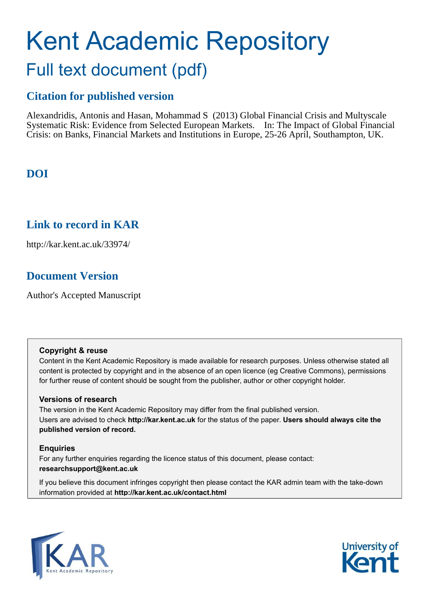# Kent Academic Repository Full text document (pdf)

## **Citation for published version**

Alexandridis, Antonis and Hasan, Mohammad S (2013) Global Financial Crisis and Multyscale Systematic Risk: Evidence from Selected European Markets. In: The Impact of Global Financial Crisis: on Banks, Financial Markets and Institutions in Europe, 25-26 April, Southampton, UK.

# **DOI**

## **Link to record in KAR**

http://kar.kent.ac.uk/33974/

# **Document Version**

Author's Accepted Manuscript

## **Copyright & reuse**

Content in the Kent Academic Repository is made available for research purposes. Unless otherwise stated all content is protected by copyright and in the absence of an open licence (eg Creative Commons), permissions for further reuse of content should be sought from the publisher, author or other copyright holder.

## **Versions of research**

The version in the Kent Academic Repository may differ from the final published version. Users are advised to check **http://kar.kent.ac.uk** for the status of the paper. **Users should always cite the published version of record.**

## **Enquiries**

For any further enquiries regarding the licence status of this document, please contact: **researchsupport@kent.ac.uk**

If you believe this document infringes copyright then please contact the KAR admin team with the take-down information provided at **http://kar.kent.ac.uk/contact.html**



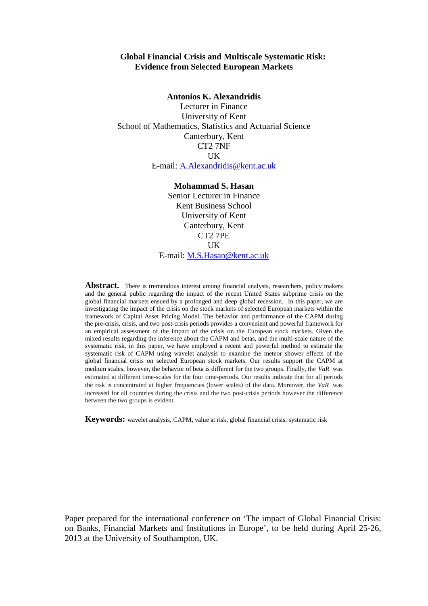#### **Global Financial Crisis and Multiscale Systematic Risk: Evidence from Selected European Markets**

#### **Antonios K. Alexandridis**

Lecturer in Finance University of Kent School of Mathematics, Statistics and Actuarial Science Canterbury, Kent CT2 7NF UK E-mail: [A.Alexandridis@kent.ac.uk](mailto:A.Alexandridis@kent.ac.uk)

**Mohammad S. Hasan** 

Senior Lecturer in Finance Kent Business School University of Kent Canterbury, Kent CT2 7PE UK E-mail: [M.S.Hasan@kent.ac.uk](mailto:M.S.Hasan@kent.ac.uk)

**Abstract.** There is tremendous interest among financial analysts, researchers, policy makers and the general public regarding the impact of the recent United States subprime crisis on the global financial markets ensued by a prolonged and deep global recession. In this paper, we are investigating the impact of the crisis on the stock markets of selected European markets within the framework of Capital Asset Pricing Model. The behavior and performance of the CAPM during the pre-crisis, crisis, and two post-crisis periods provides a convenient and powerful framework for an empirical assessment of the impact of the crisis on the European stock markets. Given the mixed results regarding the inference about the CAPM and betas, and the multi-scale nature of the systematic risk, in this paper, we have employed a recent and powerful method to estimate the systematic risk of CAPM using wavelet analysis to examine the meteor shower effects of the global financial crisis on selected European stock markets. Our results support the CAPM at medium scales, however, the behavior of beta is different for the two groups. Finally, the *VaR* was estimated at different time-scales for the four time-periods. Our results indicate that for all periods the risk is concentrated at higher frequencies (lower scales) of the data. Moreover, the *VaR* was increased for all countries during the crisis and the two post-crisis periods however the difference between the two groups is evident.

**Keywords:** wavelet analysis, CAPM, value at risk, global financial crisis, systematic risk

<span id="page-1-0"></span>Paper prepared for the international conference on 'The impact of Global Financial Crisis: on Banks, Financial Markets and Institutions in Europe', to be held during April 25-26, 2013 at the University of Southampton, UK.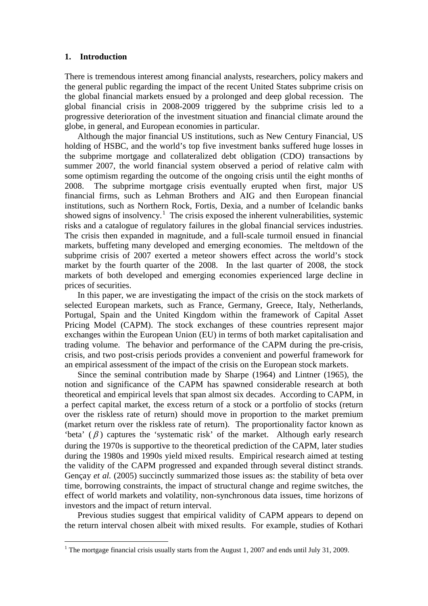#### **1. Introduction**

<u>.</u>

There is tremendous interest among financial analysts, researchers, policy makers and the general public regarding the impact of the recent United States subprime crisis on the global financial markets ensued by a prolonged and deep global recession. The global financial crisis in 2008-2009 triggered by the subprime crisis led to a progressive deterioration of the investment situation and financial climate around the globe, in general, and European economies in particular.

Although the major financial US institutions, such as New Century Financial, US holding of HSBC, and the world's top five investment banks suffered huge losses in the subprime mortgage and collateralized debt obligation (CDO) transactions by summer 2007, the world financial system observed a period of relative calm with some optimism regarding the outcome of the ongoing crisis until the eight months of 2008. The subprime mortgage crisis eventually erupted when first, major US financial firms, such as Lehman Brothers and AIG and then European financial institutions, such as Northern Rock, Fortis, Dexia, and a number of Icelandic banks showed signs of insolvency.<sup>[1](#page-1-0)</sup> The crisis exposed the inherent vulnerabilities, systemic risks and a catalogue of regulatory failures in the global financial services industries. The crisis then expanded in magnitude, and a full-scale turmoil ensued in financial markets, buffeting many developed and emerging economies. The meltdown of the subprime crisis of 2007 exerted a meteor showers effect across the world's stock market by the fourth quarter of the 2008. In the last quarter of 2008, the stock markets of both developed and emerging economies experienced large decline in prices of securities.

In this paper, we are investigating the impact of the crisis on the stock markets of selected European markets, such as France, Germany, Greece, Italy, Netherlands, Portugal, Spain and the United Kingdom within the framework of Capital Asset Pricing Model (CAPM). The stock exchanges of these countries represent major exchanges within the European Union (EU) in terms of both market capitalisation and trading volume. The behavior and performance of the CAPM during the pre-crisis, crisis, and two post-crisis periods provides a convenient and powerful framework for an empirical assessment of the impact of the crisis on the European stock markets.

<span id="page-2-0"></span>Since the seminal contribution made by [Sharpe \(1964\)](#page-23-0) and [Lintner \(1965\)](#page-23-1), the notion and significance of the CAPM has spawned considerable research at both theoretical and empirical levels that span almost six decades. According to CAPM, in a perfect capital market, the excess return of a stock or a portfolio of stocks (return over the riskless rate of return) should move in proportion to the market premium (market return over the riskless rate of return). The proportionality factor known as 'beta'  $(\beta)$  captures the 'systematic risk' of the market. Although early research during the 1970s is supportive to the theoretical prediction of the CAPM, later studies during the 1980s and 1990s yield mixed results. Empirical research aimed at testing the validity of the CAPM progressed and expanded through several distinct strands. [Gençay](#page-23-2) *et al.* (2005) succinctly summarized those issues as: the stability of beta over time, borrowing constraints, the impact of structural change and regime switches, the effect of world markets and volatility, non-synchronous data issues, time horizons of investors and the impact of return interval.

<span id="page-2-1"></span>Previous studies suggest that empirical validity of CAPM appears to depend on the return interval chosen albeit with mixed results. For example, studies of [Kothari](#page-23-3)

<sup>&</sup>lt;sup>1</sup> The mortgage financial crisis usually starts from the August 1, 2007 and ends until July 31, 2009.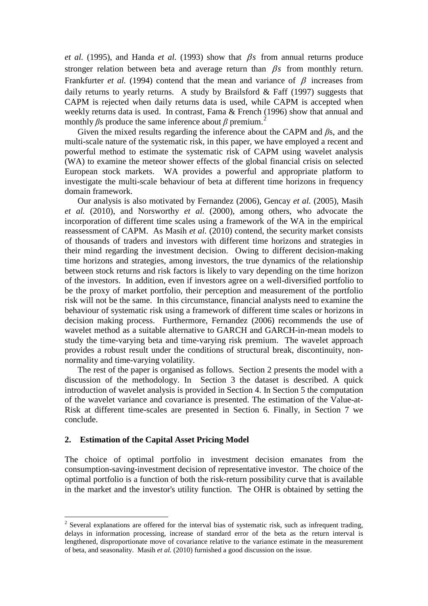*et al.* [\(1995\)](#page-23-3), and Handa *et al.* [\(1993\)](#page-23-4) show that  $\beta s$  from annual returns produce stronger relation between beta and average return than  $\beta s$  from monthly return. [Frankfurter](#page-22-0) *et al.* (1994) contend that the mean and variance of  $\beta$  increases from daily returns to yearly returns. A study by Brailsford  $& \text{Faff } (1997)$  suggests that CAPM is rejected when daily returns data is used, while CAPM is accepted when weekly returns data is used. In contrast, [Fama & French \(1996\)](#page-22-2) show that annual and monthly  $\beta$ s produce the same inference about  $\beta$  premium.<sup>[2](#page-2-1)</sup>

Given the mixed results regarding the inference about the CAPM and  $\beta$ s, and the multi-scale nature of the systematic risk, in this paper, we have employed a recent and powerful method to estimate the systematic risk of CAPM using wavelet analysis (WA) to examine the meteor shower effects of the global financial crisis on selected European stock markets. WA provides a powerful and appropriate platform to investigate the multi-scale behaviour of beta at different time horizons in frequency domain framework.

Our analysis is also motivated by [Fernandez \(2006\)](#page-22-3), Gencay *et al.* (2005), Masih *et al.* (2010), and Norsworthy *et al.* (2000), among others, who advocate the incorporation of different time scales using a framework of the WA in the empirical reassessment of CAPM. As Masih *et al.* (2010) contend, the security market consists of thousands of traders and investors with different time horizons and strategies in their mind regarding the investment decision. Owing to different decision-making time horizons and strategies, among investors, the true dynamics of the relationship between stock returns and risk factors is likely to vary depending on the time horizon of the investors. In addition, even if investors agree on a well-diversified portfolio to be the proxy of market portfolio, their perception and measurement of the portfolio risk will not be the same. In this circumstance, financial analysts need to examine the behaviour of systematic risk using a framework of different time scales or horizons in decision making process. Furthermore, [Fernandez \(2006\)](#page-22-3) recommends the use of wavelet method as a suitable alternative to GARCH and GARCH-in-mean models to study the time-varying beta and time-varying risk premium. The wavelet approach provides a robust result under the conditions of structural break, discontinuity, nonnormality and time-varying volatility.

The rest of the paper is organised as follows. Section [2](#page-2-0) presents the model with a discussion of the methodology. In Section [3](#page-4-0) the dataset is described. A quick introduction of wavelet analysis is provided in Section [4.](#page-5-0) In Section [5](#page-8-0) the computation of the wavelet variance and covariance is presented. The estimation of the Value-at-Risk at different time-scales are presented in Section [6.](#page-10-0) Finally, in Section [7](#page-13-0) we conclude.

#### **2. Estimation of the Capital Asset Pricing Model**

<u>.</u>

The choice of optimal portfolio in investment decision emanates from the consumption-saving-investment decision of representative investor. The choice of the optimal portfolio is a function of both the risk-return possibility curve that is available in the market and the investor's utility function. The OHR is obtained by setting the

<span id="page-3-1"></span><span id="page-3-0"></span> $2$  Several explanations are offered for the interval bias of systematic risk, such as infrequent trading, delays in information processing, increase of standard error of the beta as the return interval is lengthened, disproportionate move of covariance relative to the variance estimate in the measurement of beta, and seasonality. Masih *et al.* (2010) furnished a good discussion on the issue.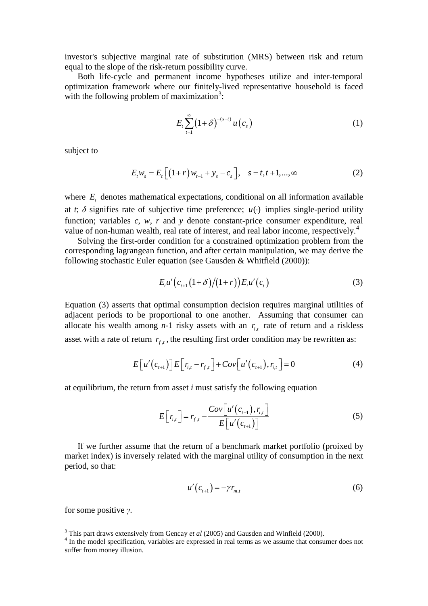investor's subjective marginal rate of substitution (MRS) between risk and return equal to the slope of the risk-return possibility curve.

Both life-cycle and permanent income hypotheses utilize and inter-temporal optimization framework where our finitely-lived representative household is faced with the following problem of maximization<sup>[3](#page-3-0)</sup>:

$$
E_t \sum_{t=1}^{\infty} \left(1+\delta\right)^{-(s-t)} u\left(c_s\right) \tag{1}
$$

subject to

$$
E_t w_s = E_t \left[ \left( 1 + r \right) w_{t-1} + y_s - c_s \right], \quad s = t, t+1, ..., \infty
$$
 (2)

where  $E_t$  denotes mathematical expectations, conditional on all information available at *t*;  $\delta$  signifies rate of subjective time preference;  $u(\cdot)$  implies single-period utility function; variables *c*, *w*, *r* and *y* denote constant-price consumer expenditure, real value of non-human wealth, real rate of interest, and real labor income, respectively.<sup>[4](#page-3-1)</sup>

<span id="page-4-0"></span>Solving the first-order condition for a constrained optimization problem from the corresponding lagrangean function, and after certain manipulation, we may derive the following stochastic Euler equation (see [Gausden & Whitfield \(2000\)](#page-22-4)):

$$
E_{t}u'\Big(c_{t+1}\big(1+\delta\big)/(1+r)\Big)E_{t}u'\Big(c_{t}\Big) \tag{3}
$$

Equation (3) asserts that optimal consumption decision requires marginal utilities of adjacent periods to be proportional to one another. Assuming that consumer can allocate his wealth among  $n-1$  risky assets with an  $r_{i,t}$  rate of return and a riskless asset with a rate of return  $r_{f,t}$ , the resulting first order condition may be rewritten as:

$$
E\big[u'(c_{t+1})\big]E\big[r_{i,t}-r_{f,t}\big]+Cov\big[u'(c_{t+1}),r_{i,t}\big]=0
$$
\n<sup>(4)</sup>

at equilibrium, the return from asset *i* must satisfy the following equation

$$
E\left[r_{i,t}\right] = r_{f,t} - \frac{Cov\left[u'\left(c_{t+1}\right), r_{i,t}\right]}{E\left[u'\left(c_{t+1}\right)\right]}
$$
\n
$$
\tag{5}
$$

If we further assume that the return of a benchmark market portfolio (proixed by market index) is inversely related with the marginal utility of consumption in the next period, so that:

$$
u'(c_{t+1}) = -\gamma r_{m,t} \tag{6}
$$

for some positive *け*.

<u>.</u>

<sup>3</sup> This part draws extensively from Gencay *et al* (2005) and Gausden and Winfield (2000).

<span id="page-4-1"></span><sup>&</sup>lt;sup>4</sup> In the model specification, variables are expressed in real terms as we assume that consumer does not suffer from money illusion.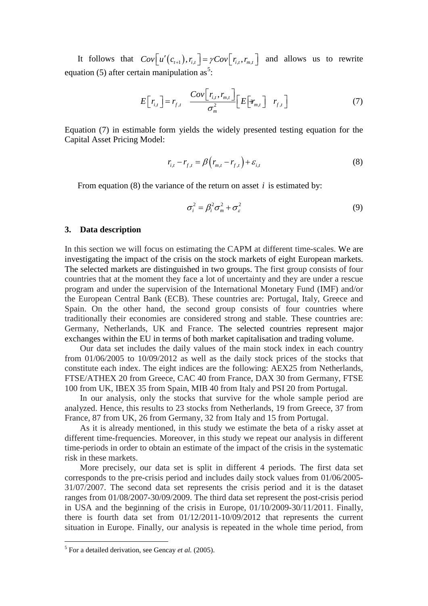It follows that  $Cov[u'(c_{t+1}), r_{i,t}] = \gamma Cov[r_{i,t}, r_{m,t}]$  and allows us to rewrite equation ([5](#page-4-1)) after certain manipulation as<sup>5</sup>:

$$
E\left[r_{i,t}\right] = r_{f,t} \quad \frac{Cov\left[r_{i,t}, r_{m,t}\right]}{\sigma_m^2} \left[E\left[\mathbf{F}_{m,t}\right] \quad r_{f,t}\right] \tag{7}
$$

Equation (7) in estimable form yields the widely presented testing equation for the Capital Asset Pricing Model:

$$
r_{i,t} - r_{f,t} = \beta (r_{m,t} - r_{f,t}) + \varepsilon_{i,t}
$$
 (8)

From equation (8) the variance of the return on asset *i* is estimated by:

$$
\sigma_i^2 = \beta_i^2 \sigma_m^2 + \sigma_\varepsilon^2 \tag{9}
$$

#### **3. Data description**

<span id="page-5-0"></span>In this section we will focus on estimating the CAPM at different time-scales. We are investigating the impact of the crisis on the stock markets of eight European markets. The selected markets are distinguished in two groups. The first group consists of four countries that at the moment they face a lot of uncertainty and they are under a rescue program and under the supervision of the International Monetary Fund (IMF) and/or the European Central Bank (ECB). These countries are: Portugal, Italy, Greece and Spain. On the other hand, the second group consists of four countries where traditionally their economies are considered strong and stable. These countries are: Germany, Netherlands, UK and France. The selected countries represent major exchanges within the EU in terms of both market capitalisation and trading volume.

Our data set includes the daily values of the main stock index in each country from 01/06/2005 to 10/09/2012 as well as the daily stock prices of the stocks that constitute each index. The eight indices are the following: AEX25 from Netherlands, FTSE/ATHEX 20 from Greece, CAC 40 from France, DAX 30 from Germany, FTSE 100 from UK, IBEX 35 from Spain, MIB 40 from Italy and PSI 20 from Portugal.

In our analysis, only the stocks that survive for the whole sample period are analyzed. Hence, this results to 23 stocks from Netherlands, 19 from Greece, 37 from France, 87 from UK, 26 from Germany, 32 from Italy and 15 from Portugal.

As it is already mentioned, in this study we estimate the beta of a risky asset at different time-frequencies. Moreover, in this study we repeat our analysis in different time-periods in order to obtain an estimate of the impact of the crisis in the systematic risk in these markets.

More precisely, our data set is split in different 4 periods. The first data set corresponds to the pre-crisis period and includes daily stock values from 01/06/2005- 31/07/2007. The second data set represents the crisis period and it is the dataset ranges from 01/08/2007-30/09/2009. The third data set represent the post-crisis period in USA and the beginning of the crisis in Europe, 01/10/2009-30/11/2011. Finally, there is fourth data set from 01/12/2011-10/09/2012 that represents the current situation in Europe. Finally, our analysis is repeated in the whole time period, from

 5 For a detailed derivation, see Gencay *et al.* (2005).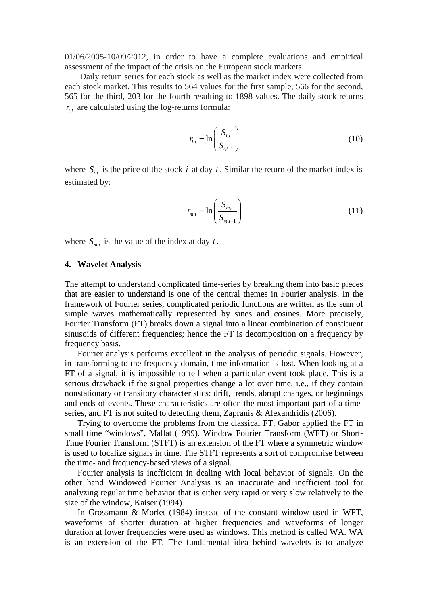01/06/2005-10/09/2012, in order to have a complete evaluations and empirical assessment of the impact of the crisis on the European stock markets

Daily return series for each stock as well as the market index were collected from each stock market. This results to 564 values for the first sample, 566 for the second, 565 for the third, 203 for the fourth resulting to 1898 values. The daily stock returns  $r_{i,t}$  are calculated using the log-returns formula:

$$
r_{i,t} = \ln\left(\frac{S_{i,t}}{S_{i,t-1}}\right) \tag{10}
$$

where  $S_{i,t}$  is the price of the stock *i* at day *t*. Similar the return of the market index is estimated by:

$$
r_{m,t} = \ln\left(\frac{S_{m,t}}{S_{m,t-1}}\right) \tag{11}
$$

where  $S_{m,t}$  is the value of the index at day  $t$ .

#### **4. Wavelet Analysis**

The attempt to understand complicated time-series by breaking them into basic pieces that are easier to understand is one of the central themes in Fourier analysis. In the framework of Fourier series, complicated periodic functions are written as the sum of simple waves mathematically represented by [sines](http://en.wikipedia.org/wiki/Sine) and [cosines.](http://en.wikipedia.org/wiki/Cosine) More precisely, Fourier Transform (FT) breaks down a signal into a linear combination of constituent sinusoids of different frequencies; hence the FT is decomposition on a frequency by frequency basis.

Fourier analysis performs excellent in the analysis of periodic signals. However, in transforming to the frequency domain, time information is lost. When looking at a FT of a signal, it is impossible to tell when a particular event took place. This is a serious drawback if the signal properties change a lot over time, i.e., if they contain nonstationary or transitory characteristics: drift, trends, abrupt changes, or beginnings and ends of events. These characteristics are often the most important part of a timeseries, and FT is not suited to detecting them, [Zapranis & Alexandridis \(2006\)](#page-24-0).

Trying to overcome the problems from the classical FT, Gabor applied the FT in small time "windows", [Mallat \(1999\)](#page-23-5). Window Fourier Transform (WFT) or Short-Time Fourier Transform (STFT) is an extension of the FT where a symmetric window is used to localize signals in time. The STFT represents a sort of compromise between the time- and frequency-based views of a signal.

Fourier analysis is inefficient in dealing with local behavior of signals. On the other hand Windowed Fourier Analysis is an inaccurate and inefficient tool for analyzing regular time behavior that is either very rapid or very slow relatively to the size of the window, [Kaiser \(1994\)](#page-23-6).

In [Grossmann & Morlet \(1984\)](#page-23-7) instead of the constant window used in WFT, waveforms of shorter duration at higher frequencies and waveforms of longer duration at lower frequencies were used as windows. This method is called WA. WA is an extension of the FT. The fundamental idea behind wavelets is to analyze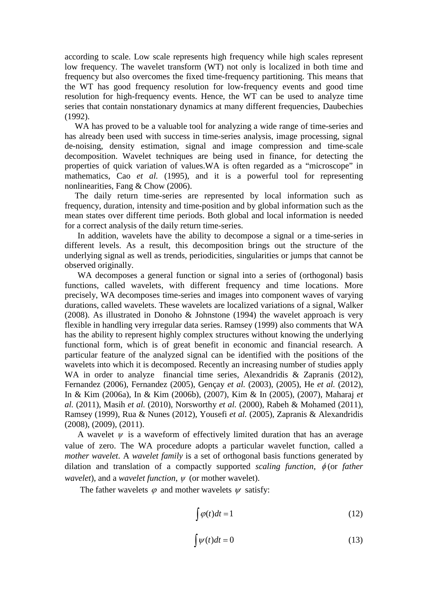according to scale. Low scale represents high frequency while high scales represent low frequency. The wavelet transform (WT) not only is localized in both time and frequency but also overcomes the fixed time-frequency partitioning. This means that the WT has good frequency resolution for low-frequency events and good time resolution for high-frequency events. Hence, the WT can be used to analyze time series that contain nonstationary dynamics at many different frequencies, [Daubechies](#page-22-5)  [\(1992\)](#page-22-5).

WA has proved to be a valuable tool for analyzing a wide range of time-series and has already been used with success in time-series analysis, image processing, signal de-noising, density estimation, signal and image compression and time-scale decomposition. Wavelet techniques are being used in finance, for detecting the properties of quick variation of values.WA is often regarded as a "microscope" in mathematics, Cao *et al.* [\(1995\)](#page-22-6), and it is a powerful tool for representing nonlinearities, [Fang & Chow \(2006\)](#page-22-7).

The daily return time-series are represented by local information such as frequency, duration, intensity and time-position and by global information such as the mean states over different time periods. Both global and local information is needed for a correct analysis of the daily return time-series.

In addition, wavelets have the ability to decompose a signal or a time-series in different levels. As a result, this decomposition brings out the structure of the underlying signal as well as trends, periodicities, singularities or jumps that cannot be observed originally.

WA decomposes a general function or signal into a series of (orthogonal) basis functions, called wavelets, with different frequency and time locations. More precisely, WA decomposes time-series and images into component waves of varying durations, called wavelets. These wavelets are localized variations of a signal, [Walker](#page-24-1)  [\(2008\)](#page-24-1). As illustrated in [Donoho & Johnstone \(1994\)](#page-22-8) the wavelet approach is very flexible in handling very irregular data series. [Ramsey \(1999\)](#page-23-8) also comments that WA has the ability to represent highly complex structures without knowing the underlying functional form, which is of great benefit in economic and financial research. A particular feature of the analyzed signal can be identified with the positions of the wavelets into which it is decomposed. Recently an increasing number of studies apply WA in order to analyze financial time series, [Alexandridis & Zapranis \(2012\)](#page-22-9), [Fernandez \(2006\)](#page-22-3), [Fernandez \(2005\)](#page-22-10), [Gençay](#page-23-9) *et al.* (2003), [\(2005\)](#page-23-2), He *et al.* [\(2012\)](#page-23-10), [In & Kim \(2006a\)](#page-23-11), [In & Kim \(2006b\)](#page-23-12), [\(2007\)](#page-23-13), [Kim & In \(2005\)](#page-23-14), [\(2007\)](#page-23-15), [Maharaj](#page-23-16) *et al.* [\(2011\)](#page-23-16), Masih *et al.* [\(2010\)](#page-23-17), [Norsworthy](#page-23-18) *et al.* (2000), [Rabeh & Mohamed \(2011\)](#page-23-19), [Ramsey \(1999\)](#page-23-8), [Rua & Nunes \(2012\)](#page-23-20), [Yousefi](#page-24-2) *et al.* (2005), [Zapranis & Alexandridis](#page-24-3)  [\(2008\)](#page-24-3), [\(2009\)](#page-24-4), [\(2011\)](#page-24-5).

A wavelet  $\psi$  is a waveform of effectively limited duration that has an average value of zero. The WA procedure adopts a particular wavelet function, called a *mother wavelet*. A *wavelet family* is a set of orthogonal basis functions generated by dilation and translation of a compactly supported *scaling function*, φ (or *father wavelet*), and a *wavelet function*, <sup>ψ</sup> (or mother wavelet).

The father wavelets  $\varphi$  and mother wavelets  $\psi$  satisfy:

$$
\int \varphi(t)dt = 1\tag{12}
$$

$$
\int \psi(t)dt = 0 \tag{13}
$$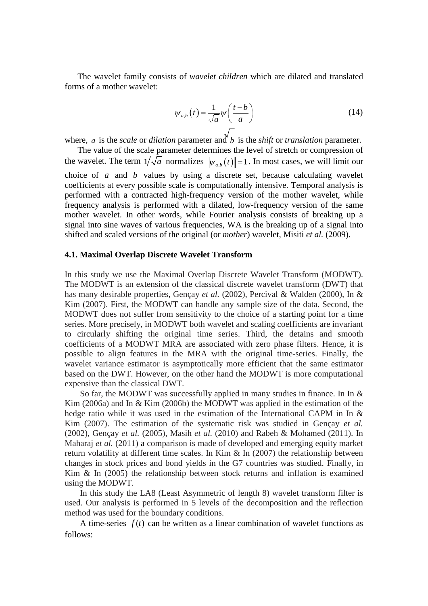The wavelet family consists of *wavelet children* which are dilated and translated forms of a mother wavelet:

$$
\psi_{a,b}\left(t\right) = \frac{1}{\sqrt{a}}\psi\left(\frac{t-b}{a}\right) \tag{14}
$$

where, *a* is the *scale* or *dilation* parameter and *b* is the *shift* or *translation* parameter.

The value of the scale parameter determines the level of stretch or compression of the wavelet. The term  $1/\sqrt{a}$  normalizes  $\|\psi_{a,b}(t)\|=1$ . In most cases, we will limit our choice of *a* and *b* values by using a discrete set, because calculating wavelet coefficients at every possible scale is computationally intensive. Temporal analysis is performed with a contracted high-frequency version of the mother wavelet, while frequency analysis is performed with a dilated, low-frequency version of the same mother wavelet. In other words, while Fourier analysis consists of breaking up a signal into sine waves of various frequencies, WA is the breaking up of a signal into shifted and scaled versions of the original (or *mother*) wavelet, Misiti *et al.* [\(2009\)](#page-23-21).

#### **4.1. Maximal Overlap Discrete Wavelet Transform**

In this study we use the Maximal Overlap Discrete Wavelet Transform (MODWT). The MODWT is an extension of the classical discrete wavelet transform (DWT) that has many desirable properties, [Gençay](#page-22-11) *et al.* (2002), [Percival & Walden \(2000\)](#page-23-22), [In &](#page-23-13)  [Kim \(2007\)](#page-23-13). First, the MODWT can handle any sample size of the data. Second, the MODWT does not suffer from sensitivity to the choice of a starting point for a time series. More precisely, in MODWT both wavelet and scaling coefficients are invariant to circularly shifting the original time series. Third, the detains and smooth coefficients of a MODWT MRA are associated with zero phase filters. Hence, it is possible to align features in the MRA with the original time-series. Finally, the wavelet variance estimator is asymptotically more efficient that the same estimator based on the DWT. However, on the other hand the MODWT is more computational expensive than the classical DWT.

So far, the MODWT was successfully applied in many studies in finance. In [In &](#page-23-11)  [Kim \(2006a\)](#page-23-11) and [In & Kim \(2006b\)](#page-23-12) the MODWT was applied in the estimation of the hedge ratio while it was used in the estimation of the International CAPM in In & [Kim \(2007\)](#page-23-13). The estimation of the systematic risk was studied in [Gençay](#page-22-11) *et al.* [\(2002\)](#page-22-11), [Gençay](#page-23-2) *et al.* (2005), Masih *et al.* [\(2010\)](#page-23-17) and [Rabeh & Mohamed \(2011\)](#page-23-19). In [Maharaj](#page-23-16) *et al.* (2011) a comparison is made of developed and emerging equity market return volatility at different time scales. In [Kim & In \(2007\)](#page-23-15) the relationship between changes in stock prices and bond yields in the G7 countries was studied. Finally, in Kim  $\&$  In (2005) the relationship between stock returns and inflation is examined using the MODWT.

<span id="page-8-0"></span>In this study the LA8 (Least Asymmetric of length 8) wavelet transform filter is used. Our analysis is performed in 5 levels of the decomposition and the reflection method was used for the boundary conditions.

A time-series  $f(t)$  can be written as a linear combination of wavelet functions as follows: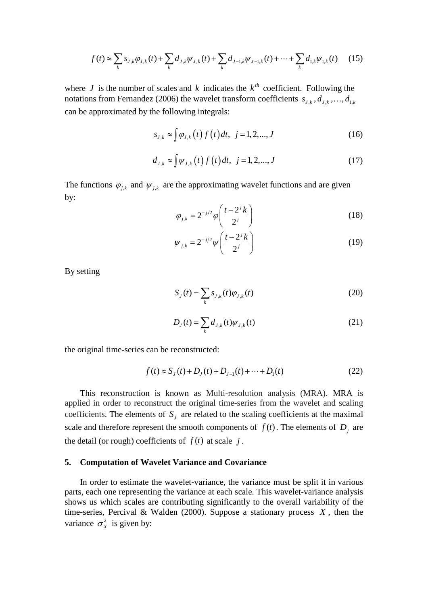$$
f(t) \approx \sum_{k} s_{J,k} \varphi_{J,k}(t) + \sum_{k} d_{J,k} \psi_{J,k}(t) + \sum_{k} d_{J-1,k} \psi_{J-1,k}(t) + \dots + \sum_{k} d_{1,k} \psi_{1,k}(t) \tag{15}
$$

where *J* is the number of scales and *k* indicates the  $k^{th}$  coefficient. Following the notations from [Fernandez \(2006\)](#page-22-3) the wavelet transform coefficients  $s_{j,k}$ ,  $d_{j,k}$ , ...,  $d_{1,k}$ can be approximated by the following integrals:

$$
s_{J,k} \approx \int \varphi_{J,k}(t) f(t) dt, \ \ j = 1, 2, ..., J \tag{16}
$$

$$
d_{J,k} \approx \int \psi_{J,k}(t) f(t) dt, \ \ j = 1, 2, ..., J \tag{17}
$$

The functions  $\varphi_{j,k}$  and  $\psi_{j,k}$  are the approximating wavelet functions and are given by:

$$
\varphi_{j,k} = 2^{-j/2} \varphi \left( \frac{t - 2^j k}{2^j} \right) \tag{18}
$$

$$
\psi_{j,k} = 2^{-j/2} \psi\left(\frac{t-2^j k}{2^j}\right) \tag{19}
$$

By setting

$$
S_J(t) = \sum_{k} s_{J,k}(t) \varphi_{J,k}(t)
$$
\n(20)

$$
D_J(t) = \sum_k d_{J,k}(t) \psi_{J,k}(t)
$$
\n(21)

the original time-series can be reconstructed:

$$
f(t) \approx S_J(t) + D_J(t) + D_{J-1}(t) + \dots + D_1(t)
$$
\n(22)

This reconstruction is known as Multi-resolution analysis (MRA). MRA is applied in order to reconstruct the original time-series from the wavelet and scaling coefficients. The elements of  $S_j$  are related to the scaling coefficients at the maximal scale and therefore represent the smooth components of  $f(t)$ . The elements of  $D_j$  are the detail (or rough) coefficients of  $f(t)$  at scale  $j$ .

#### **5. Computation of Wavelet Variance and Covariance**

In order to estimate the wavelet-variance, the variance must be split it in various parts, each one representing the variance at each scale. This wavelet-variance analysis shows us which scales are contributing significantly to the overall variability of the time-series, [Percival & Walden \(2000\)](#page-23-22). Suppose a stationary process *X* , then the variance  $\sigma_x^2$  is given by: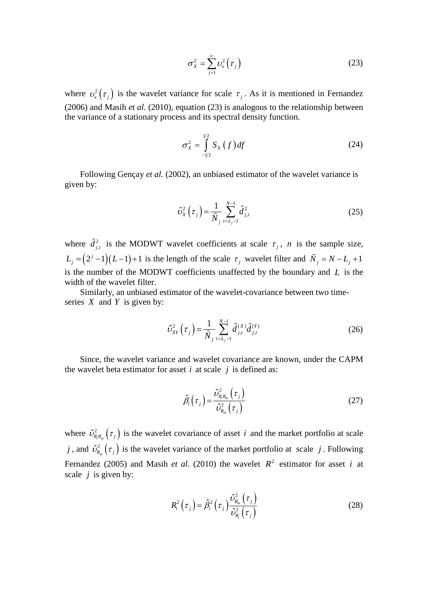$$
\sigma_X^2 = \sum_{j=1}^{\infty} \nu_x^2 \left( \tau_j \right) \tag{23}
$$

where  $v_x^2(\tau_j)$  is the wavelet variance for scale  $\tau_j$ . As it is mentioned in [Fernandez](#page-22-3) [\(2006\)](#page-22-3) and Masih *et al.* [\(2010\)](#page-23-17), equation (23) is analogous to the relationship between the variance of a stationary process and its spectral density function.

$$
\sigma_X^2 = \int_{-1/2}^{1/2} S_X(f) df
$$
 (24)

Following [Gençay](#page-22-11) *et al.* (2002), an unbiased estimator of the wavelet variance is given by:

$$
\hat{\nu}_X^2(\tau_j) = \frac{1}{\tilde{N}_j} \sum_{t=L_j-1}^{N-1} \tilde{d}_{j,t}^2
$$
\n(25)

where  $\tilde{d}^2_{j,t}$  is the MODWT wavelet coefficients at scale  $\tau_j$ , *n* is the sample size,  $L_j = (2^j - 1)(L-1) + 1$  is the length of the scale  $\tau_j$  wavelet filter and  $\tilde{N}_j = N - L_j + 1$ is the number of the MODWT coefficients unaffected by the boundary and *L* is the width of the wavelet filter.

Similarly, an unbiased estimator of the wavelet-covariance between two timeseries *X* and *Y* is given by:

$$
\hat{\nu}_{XY}^2(\tau_j) = \frac{1}{\tilde{N}_j} \sum_{t=L_j-1}^{N-1} \tilde{d}_{j,t}^{(X)} \tilde{d}_{j,t}^{(Y)} \tag{26}
$$

Since, the wavelet variance and wavelet covariance are known, under the CAPM the wavelet beta estimator for asset  $i$  at scale  $j$  is defined as:

$$
\hat{\beta}_i(\tau_j) = \frac{\hat{\upsilon}_{R_i R_m}^2(\tau_j)}{\hat{\upsilon}_{R_m}^2(\tau_j)}
$$
\n(27)

<span id="page-10-0"></span>where  $\hat{v}_{R_i R_m}^2(\tau_j)$  is the wavelet covariance of asset *i* and the market portfolio at scale *j*, and  $\hat{\nu}_{R_m}^2(\tau_j)$  is the wavelet variance of the market portfolio at scale *j*. Following [Fernandez \(2005\)](#page-22-10) and Masih *et al.* [\(2010\)](#page-23-17) the wavelet  $R^2$  estimator for asset *i* at scale *j* is given by:

$$
R_i^2(\tau_j) = \hat{\beta}_i^2(\tau_j) \frac{\hat{\nu}_{R_m}^2(\tau_j)}{\hat{\nu}_{R_i}^2(\tau_j)}
$$
(28)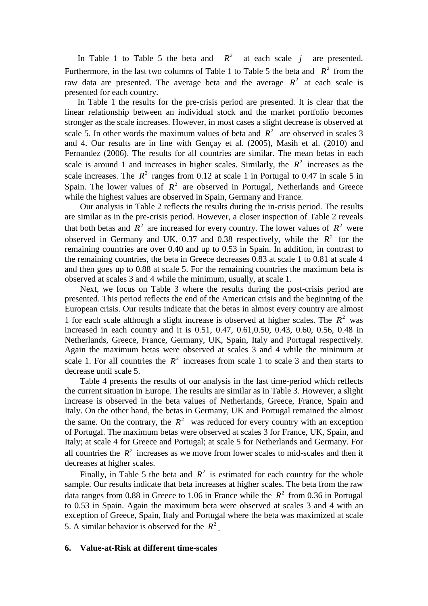In [Table 1](#page-15-0) to [Table 5](#page-19-0) the beta and  $R^2$  at each scale *j* are presented. Furthermore, in the last two columns of [Table 1](#page-15-0) to [Table 5](#page-19-0) the beta and  $R^2$  from the raw data are presented. The average beta and the average  $R^2$  at each scale is presented for each country.

In [Table 1](#page-15-0) the results for the pre-crisis period are presented. It is clear that the linear relationship between an individual stock and the market portfolio becomes stronger as the scale increases. However, in most cases a slight decrease is observed at scale 5. In other words the maximum values of beta and  $R^2$  are observed in scales 3 and 4. Our results are in line with [Gençay et al. \(2005\)](#page-23-2), [Masih et al. \(2010\)](#page-23-17) and [Fernandez \(2006\)](#page-22-3). The results for all countries are similar. The mean betas in each scale is around 1 and increases in higher scales. Similarly, the  $R^2$  increases as the scale increases. The  $R^2$  ranges from 0.12 at scale 1 in Portugal to 0.47 in scale 5 in Spain. The lower values of  $R^2$  are observed in Portugal, Netherlands and Greece while the highest values are observed in Spain, Germany and France.

Our analysis in [Table 2](#page-15-1) reflects the results during the in-crisis period. The results are similar as in the pre-crisis period. However, a closer inspection of [Table 2](#page-15-1) reveals that both betas and  $R^2$  are increased for every country. The lower values of  $R^2$  were observed in Germany and UK, 0.37 and 0.38 respectively, while the  $R^2$  for the remaining countries are over 0.40 and up to 0.53 in Spain. In addition, in contrast to the remaining countries, the beta in Greece decreases 0.83 at scale 1 to 0.81 at scale 4 and then goes up to 0.88 at scale 5. For the remaining countries the maximum beta is observed at scales 3 and 4 while the minimum, usually, at scale 1.

Next, we focus on [Table 3](#page-17-0) where the results during the post-crisis period are presented. This period reflects the end of the American crisis and the beginning of the European crisis. Our results indicate that the betas in almost every country are almost 1 for each scale although a slight increase is observed at higher scales. The  $R^2$  was increased in each country and it is 0.51, 0.47, 0.61,0.50, 0.43, 0.60, 0.56, 0.48 in Netherlands, Greece, France, Germany, UK, Spain, Italy and Portugal respectively. Again the maximum betas were observed at scales 3 and 4 while the minimum at scale 1. For all countries the  $R^2$  increases from scale 1 to scale 3 and then starts to decrease until scale 5.

[Table 4](#page-18-0) presents the results of our analysis in the last time-period which reflects the current situation in Europe. The results are similar as in [Table 3.](#page-17-0) However, a slight increase is observed in the beta values of Netherlands, Greece, France, Spain and Italy. On the other hand, the betas in Germany, UK and Portugal remained the almost the same. On the contrary, the  $R^2$  was reduced for every country with an exception of Portugal. The maximum betas were observed at scales 3 for France, UK, Spain, and Italy; at scale 4 for Greece and Portugal; at scale 5 for Netherlands and Germany. For all countries the  $R^2$  increases as we move from lower scales to mid-scales and then it decreases at higher scales.

Finally, in [Table 5](#page-19-0) the beta and  $R^2$  is estimated for each country for the whole sample. Our results indicate that beta increases at higher scales. The beta from the raw data ranges from 0.88 in Greece to 1.06 in France while the  $R^2$  from 0.36 in Portugal to 0.53 in Spain. Again the maximum beta were observed at scales 3 and 4 with an exception of Greece, Spain, Italy and Portugal where the beta was maximized at scale 5. A similar behavior is observed for the  $R^2$ 

#### **6. Value-at-Risk at different time-scales**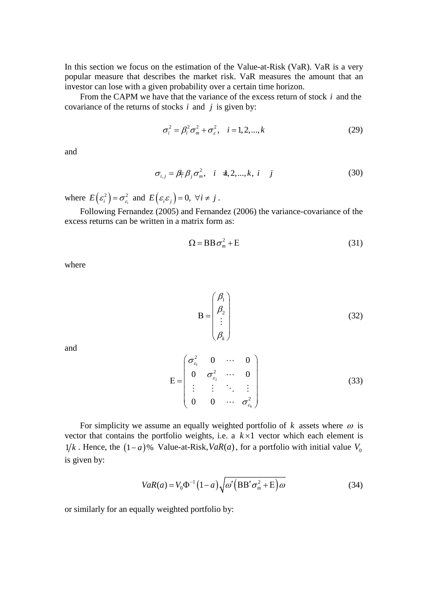In this section we focus on the estimation of the Value-at-Risk (VaR). VaR is a very popular measure that describes the market risk. VaR measures the amount that an investor can lose with a given probability over a certain time horizon.

From the CAPM we have that the variance of the excess return of stock *i* and the covariance of the returns of stocks *i* and *j* is given by:

$$
\sigma_i^2 = \beta_i^2 \sigma_m^2 + \sigma_s^2, \quad i = 1, 2, ..., k \tag{29}
$$

and

$$
\sigma_{i,j} = \beta_{\overline{i}} \beta_j \sigma_m^2, \quad i \neq 2, \dots, k, \quad i \quad j \tag{30}
$$

where  $E(\varepsilon_i^2) = \sigma_{\varepsilon_i}^2$  and  $E(\varepsilon_i \varepsilon_j) = 0$ ,  $\forall i \neq j$ .

Following [Fernandez \(2005\)](#page-22-10) and [Fernandez \(2006\)](#page-22-3) the variance-covariance of the excess returns can be written in a matrix form as:

$$
\Omega = \text{BB}\,\sigma_m^2 + \text{E} \tag{31}
$$

where

$$
\mathbf{B} = \begin{pmatrix} \beta_1 \\ \beta_2 \\ \vdots \\ \beta_k \end{pmatrix}
$$
 (32)

and

$$
E = \begin{pmatrix} \sigma_{\varepsilon_1}^2 & 0 & \cdots & 0 \\ 0 & \sigma_{\varepsilon_2}^2 & \cdots & 0 \\ \vdots & \vdots & \ddots & \vdots \\ 0 & 0 & \cdots & \sigma_{\varepsilon_k}^2 \end{pmatrix}
$$
 (33)

For simplicity we assume an equally weighted portfolio of  $k$  assets where  $\omega$  is vector that contains the portfolio weights, i.e. a  $k \times 1$  vector which each element is  $1/k$ . Hence, the  $(1-a)$ % Value-at-Risk,  $VaR(a)$ , for a portfolio with initial value  $V_0$ is given by:

$$
VaR(a) = V_0 \Phi^{-1} (1-a) \sqrt{\omega' (BB' \sigma_m^2 + \mathcal{E}) \omega}
$$
 (34)

or similarly for an equally weighted portfolio by: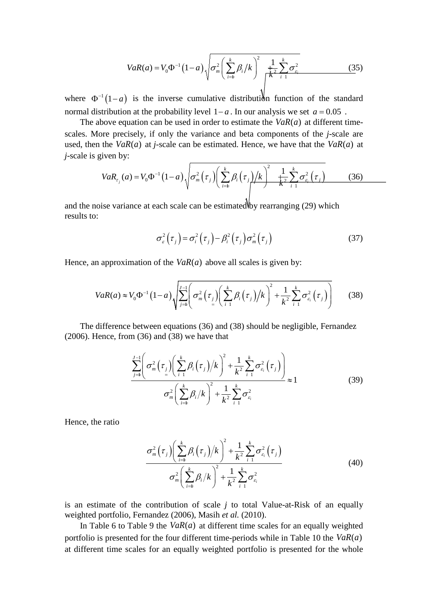$$
VaR(a) = V_0 \Phi^{-1} (1-a) \sqrt{\sigma_m^2 \left(\sum_{i=1}^k \beta_i / k\right)^2 \frac{1}{\sqrt{\sum_{i=1}^k \sum_{i=1}^k \sigma_{\varepsilon_i}^2}}}
$$
(35)

where  $\Phi^{-1}(1-a)$  is the inverse cumulative distribution function of the standard normal distribution at the probability level  $1-a$ . In our analysis we set  $a = 0.05$ .

The above equation can be used in order to estimate the  $VaR(a)$  at different timescales. More precisely, if only the variance and beta components of the *j*-scale are used, then the  $VaR(a)$  at *j*-scale can be estimated. Hence, we have that the  $VaR(a)$  at *j*-scale is given by:

$$
VaR_{\tau_j}(a) = V_0 \Phi^{-1} (1-a) \sqrt{\sigma_m^2 (\tau_j) \left( \sum_{i=1}^k \beta_i (\tau_j) / k \right)^2 + \frac{1}{k^2} \sum_{i=1}^k \sigma_{\varepsilon_i}^2 (\tau_j)}
$$
(36)

and the noise variance at each scale can be estimated by rearranging  $(29)$  which results to:

$$
\sigma_{\varepsilon}^{2}(\tau_{j}) = \sigma_{i}^{2}(\tau_{j}) - \beta_{i}^{2}(\tau_{j})\sigma_{m}^{2}(\tau_{j})
$$
\n(37)

Hence, an approximation of the  $VaR(a)$  above all scales is given by:

$$
VaR(a) \approx V_0 \Phi^{-1} (1-a) \sqrt{\sum_{j=1}^{J-1} \left( \sigma_m^2 (\tau_j) \left( \sum_{i=1}^k \beta_i (\tau_j) / k \right)^2 + \frac{1}{k^2} \sum_{i=1}^k \sigma_{\varepsilon_i}^2 (\tau_j) \right)}
$$
(38)

The difference between equations (36) and (38) should be negligible, [Fernandez](#page-22-3)   $(2006)$ . Hence, from  $(36)$  and  $(38)$  we have that

$$
\frac{\sum_{j=1}^{J-1} \left( \sigma_m^2 \left( \tau_j \right) \left( \sum_{i=1}^k \beta_i \left( \tau_j \right) \right) k \right)^2 + \frac{1}{k^2} \sum_{i=1}^k \sigma_{\varepsilon_i}^2 \left( \tau_j \right) \right)}{\sigma_m^2 \left( \sum_{i=1}^k \beta_i / k \right)^2 + \frac{1}{k^2} \sum_{i=1}^k \sigma_{\varepsilon_i}^2} \approx 1 \tag{39}
$$

Hence, the ratio

$$
\frac{\sigma_m^2(\tau_j)\left(\sum_{i=1}^k \beta_i(\tau_j)/k\right)^2 + \frac{1}{k^2}\sum_{i=1}^k \sigma_{\varepsilon_i}^2(\tau_j)}{\sigma_m^2\left(\sum_{i=1}^k \beta_i/k\right)^2 + \frac{1}{k^2}\sum_{i=1}^k \sigma_{\varepsilon_i}^2}
$$
\n(40)

<span id="page-13-0"></span>is an estimate of the contribution of scale *j* to total Value-at-Risk of an equally weighted portfolio, [Fernandez \(2006\)](#page-22-3), Masih *et al.* [\(2010\)](#page-23-17).

In [Table 6](#page-20-0) to [Table 9](#page-21-0) the  $VaR(a)$  at different time scales for an equally weighted portfolio is presented for the four different time-periods while in [Table 10](#page-22-12) the  $VaR(a)$ at different time scales for an equally weighted portfolio is presented for the whole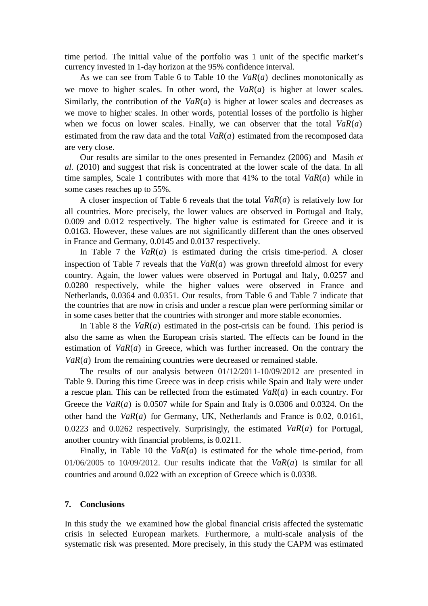time period. The initial value of the portfolio was 1 unit of the specific market's currency invested in 1-day horizon at the 95% confidence interval.

As we can see from [Table 6](#page-20-0) to [Table 10](#page-22-12) the  $VaR(a)$  declines monotonically as we move to higher scales. In other word, the  $VaR(a)$  is higher at lower scales. Similarly, the contribution of the  $VaR(a)$  is higher at lower scales and decreases as we move to higher scales. In other words, potential losses of the portfolio is higher when we focus on lower scales. Finally, we can observer that the total  $VaR(a)$ estimated from the raw data and the total  $VaR(a)$  estimated from the recomposed data are very close.

Our results are similar to the ones presented in [Fernandez \(2006\)](#page-22-3) and [Masih](#page-23-17) *et al.* [\(2010\)](#page-23-17) and suggest that risk is concentrated at the lower scale of the data. In all time samples, Scale 1 contributes with more that  $41\%$  to the total  $VaR(a)$  while in some cases reaches up to 55%.

A closer inspection of [Table 6](#page-20-0) reveals that the total  $VaR(a)$  is relatively low for all countries. More precisely, the lower values are observed in Portugal and Italy, 0.009 and 0.012 respectively. The higher value is estimated for Greece and it is 0.0163. However, these values are not significantly different than the ones observed in France and Germany, 0.0145 and 0.0137 respectively.

In [Table 7](#page-20-1) the  $VaR(a)$  is estimated during the crisis time-period. A closer inspection of [Table 7](#page-20-1) reveals that the  $VaR(a)$  was grown threefold almost for every country. Again, the lower values were observed in Portugal and Italy, 0.0257 and 0.0280 respectively, while the higher values were observed in France and Netherlands, 0.0364 and 0.0351. Our results, from [Table 6](#page-20-0) and [Table 7](#page-20-1) indicate that the countries that are now in crisis and under a rescue plan were performing similar or in some cases better that the countries with stronger and more stable economies.

In [Table 8](#page-21-1) the  $VaR(a)$  estimated in the post-crisis can be found. This period is also the same as when the European crisis started. The effects can be found in the estimation of  $VaR(a)$  in Greece, which was further increased. On the contrary the  $VaR(a)$  from the remaining countries were decreased or remained stable.

The results of our analysis between 01/12/2011-10/09/2012 are presented in [Table 9.](#page-21-0) During this time Greece was in deep crisis while Spain and Italy were under a rescue plan. This can be reflected from the estimated  $VaR(a)$  in each country. For Greece the  $VaR(a)$  is 0.0507 while for Spain and Italy is 0.0306 and 0.0324. On the other hand the  $VaR(a)$  for Germany, UK, Netherlands and France is 0.02, 0.0161, 0.0223 and 0.0262 respectively. Surprisingly, the estimated  $VaR(a)$  for Portugal, another country with financial problems, is 0.0211.

Finally, in [Table 10](#page-22-12) the  $VaR(a)$  is estimated for the whole time-period, from 01/06/2005 to 10/09/2012. Our results indicate that the  $VaR(a)$  is similar for all countries and around 0.022 with an exception of Greece which is 0.0338.

#### **7. Conclusions**

In this study the we examined how the global financial crisis affected the systematic crisis in selected European markets. Furthermore, a multi-scale analysis of the systematic risk was presented. More precisely, in this study the CAPM was estimated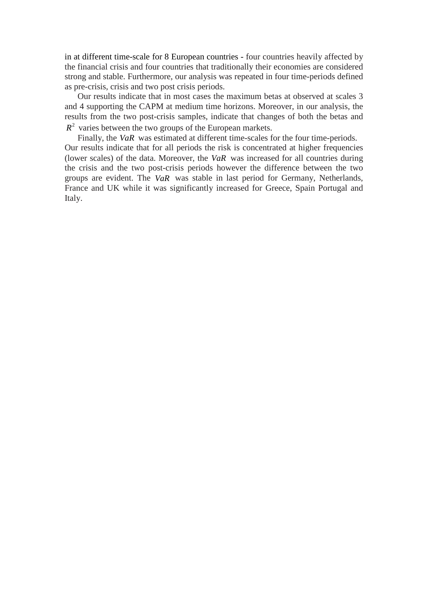<span id="page-15-0"></span>in at different time-scale for 8 European countries - four countries heavily affected by the financial crisis and four countries that traditionally their economies are considered strong and stable. Furthermore, our analysis was repeated in four time-periods defined as pre-crisis, crisis and two post crisis periods.

Our results indicate that in most cases the maximum betas at observed at scales 3 and 4 supporting the CAPM at medium time horizons. Moreover, in our analysis, the results from the two post-crisis samples, indicate that changes of both the betas and  $R<sup>2</sup>$  varies between the two groups of the European markets.

<span id="page-15-1"></span>Finally, the *VaR* was estimated at different time-scales for the four time-periods. Our results indicate that for all periods the risk is concentrated at higher frequencies (lower scales) of the data. Moreover, the *VaR* was increased for all countries during the crisis and the two post-crisis periods however the difference between the two groups are evident. The *VaR* was stable in last period for Germany, Netherlands, France and UK while it was significantly increased for Greece, Spain Portugal and Italy.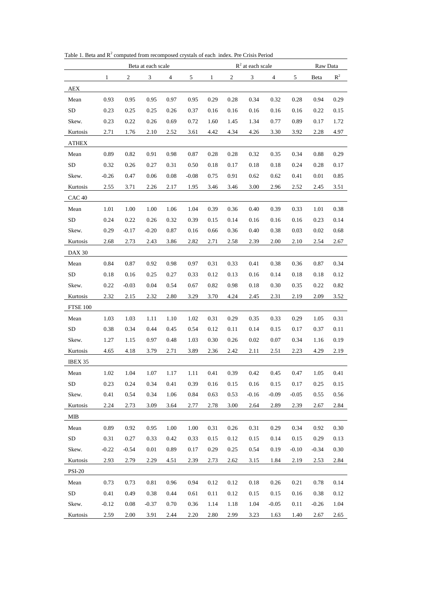|                   |         |                | Beta at each scale |      |         |              |            | $R^2$ at each scale |                | Raw Data |         |                |  |
|-------------------|---------|----------------|--------------------|------|---------|--------------|------------|---------------------|----------------|----------|---------|----------------|--|
|                   | 1       | $\overline{c}$ | $\mathfrak{Z}$     | 4    | 5       | $\mathbf{1}$ | $\sqrt{2}$ | $\mathfrak{Z}$      | $\overline{4}$ | 5        | Beta    | $\mathbb{R}^2$ |  |
| <b>AEX</b>        |         |                |                    |      |         |              |            |                     |                |          |         |                |  |
| Mean              | 0.93    | 0.95           | 0.95               | 0.97 | 0.95    | 0.29         | 0.28       | 0.34                | 0.32           | 0.28     | 0.94    | 0.29           |  |
| <b>SD</b>         | 0.23    | 0.25           | 0.25               | 0.26 | 0.37    | 0.16         | 0.16       | 0.16                | 0.16           | 0.16     | 0.22    | 0.15           |  |
| Skew.             | 0.23    | 0.22           | 0.26               | 0.69 | 0.72    | 1.60         | 1.45       | 1.34                | 0.77           | 0.89     | 0.17    | 1.72           |  |
| Kurtosis          | 2.71    | 1.76           | 2.10               | 2.52 | 3.61    | 4.42         | 4.34       | 4.26                | 3.30           | 3.92     | 2.28    | 4.97           |  |
| <b>ATHEX</b>      |         |                |                    |      |         |              |            |                     |                |          |         |                |  |
| Mean              | 0.89    | 0.82           | 0.91               | 0.98 | 0.87    | 0.28         | 0.28       | 0.32                | 0.35           | 0.34     | 0.88    | 0.29           |  |
| <b>SD</b>         | 0.32    | 0.26           | 0.27               | 0.31 | 0.50    | 0.18         | 0.17       | 0.18                | 0.18           | 0.24     | 0.28    | 0.17           |  |
| Skew.             | $-0.26$ | 0.47           | 0.06               | 0.08 | $-0.08$ | 0.75         | 0.91       | 0.62                | 0.62           | 0.41     | 0.01    | 0.85           |  |
| Kurtosis          | 2.55    | 3.71           | 2.26               | 2.17 | 1.95    | 3.46         | 3.46       | 3.00                | 2.96           | 2.52     | 2.45    | 3.51           |  |
| CAC <sub>40</sub> |         |                |                    |      |         |              |            |                     |                |          |         |                |  |
| Mean              | 1.01    | 1.00           | 1.00               | 1.06 | 1.04    | 0.39         | 0.36       | 0.40                | 0.39           | 0.33     | 1.01    | 0.38           |  |
| SD                | 0.24    | 0.22           | 0.26               | 0.32 | 0.39    | 0.15         | 0.14       | 0.16                | 0.16           | 0.16     | 0.23    | 0.14           |  |
| Skew.             | 0.29    | $-0.17$        | $-0.20$            | 0.87 | 0.16    | 0.66         | 0.36       | 0.40                | 0.38           | 0.03     | 0.02    | 0.68           |  |
| Kurtosis          | 2.68    | 2.73           | 2.43               | 3.86 | 2.82    | 2.71         | 2.58       | 2.39                | 2.00           | 2.10     | 2.54    | 2.67           |  |
| <b>DAX 30</b>     |         |                |                    |      |         |              |            |                     |                |          |         |                |  |
| Mean              | 0.84    | 0.87           | 0.92               | 0.98 | 0.97    | 0.31         | 0.33       | 0.41                | 0.38           | 0.36     | 0.87    | 0.34           |  |
| <b>SD</b>         | 0.18    | 0.16           | 0.25               | 0.27 | 0.33    | 0.12         | 0.13       | 0.16                | 0.14           | 0.18     | 0.18    | 0.12           |  |
| Skew.             | 0.22    | $-0.03$        | 0.04               | 0.54 | 0.67    | 0.82         | 0.98       | 0.18                | 0.30           | 0.35     | 0.22    | 0.82           |  |
| Kurtosis          | 2.32    | 2.15           | 2.32               | 2.80 | 3.29    | 3.70         | 4.24       | 2.45                | 2.31           | 2.19     | 2.09    | 3.52           |  |
| <b>FTSE 100</b>   |         |                |                    |      |         |              |            |                     |                |          |         |                |  |
| Mean              | 1.03    | 1.03           | 1.11               | 1.10 | 1.02    | 0.31         | 0.29       | 0.35                | 0.33           | 0.29     | 1.05    | 0.31           |  |
| SD                | 0.38    | 0.34           | 0.44               | 0.45 | 0.54    | 0.12         | 0.11       | 0.14                | 0.15           | 0.17     | 0.37    | 0.11           |  |
| Skew.             | 1.27    | 1.15           | 0.97               | 0.48 | 1.03    | 0.30         | 0.26       | 0.02                | 0.07           | 0.34     | 1.16    | 0.19           |  |
| Kurtosis          | 4.65    | 4.18           | 3.79               | 2.71 | 3.89    | 2.36         | 2.42       | 2.11                | 2.51           | 2.23     | 4.29    | 2.19           |  |
| IBEX 35           |         |                |                    |      |         |              |            |                     |                |          |         |                |  |
| Mean              | 1.02    | 1.04           | 1.07               | 1.17 | 1.11    | 0.41         | 0.39       | 0.42                | 0.45           | 0.47     | 1.05    | 0.41           |  |
| SD                | 0.23    | 0.24           | 0.34               | 0.41 | 0.39    | 0.16         | 0.15       | 0.16                | 0.15           | 0.17     | 0.25    | 0.15           |  |
| Skew.             | 0.41    | 0.54           | 0.34               | 1.06 | 0.84    | 0.63         | 0.53       | $-0.16$             | $-0.09$        | $-0.05$  | 0.55    | 0.56           |  |
| Kurtosis          | 2.24    | 2.73           | 3.09               | 3.64 | 2.77    | 2.78         | 3.00       | 2.64                | 2.89           | 2.39     | 2.67    | 2.84           |  |
| MIB               |         |                |                    |      |         |              |            |                     |                |          |         |                |  |
| Mean              | 0.89    | 0.92           | 0.95               | 1.00 | 1.00    | 0.31         | 0.26       | 0.31                | 0.29           | 0.34     | 0.92    | 0.30           |  |
| SD                | 0.31    | 0.27           | 0.33               | 0.42 | 0.33    | 0.15         | 0.12       | 0.15                | 0.14           | 0.15     | 0.29    | 0.13           |  |
| Skew.             | $-0.22$ | $-0.54$        | 0.01               | 0.89 | 0.17    | 0.29         | 0.25       | 0.54                | 0.19           | $-0.10$  | $-0.34$ | 0.30           |  |
| Kurtosis          | 2.93    | 2.79           | 2.29               | 4.51 | 2.39    | 2.73         | 2.62       | 3.15                | 1.84           | 2.19     | 2.53    | 2.84           |  |
| <b>PSI-20</b>     |         |                |                    |      |         |              |            |                     |                |          |         |                |  |
| Mean              | 0.73    | 0.73           | 0.81               | 0.96 | 0.94    | 0.12         | 0.12       | 0.18                | 0.26           | 0.21     | 0.78    | 0.14           |  |
| SD                | 0.41    | 0.49           | 0.38               | 0.44 | 0.61    | 0.11         | 0.12       | 0.15                | 0.15           | 0.16     | 0.38    | 0.12           |  |
| Skew.             | $-0.12$ | 0.08           | $-0.37$            | 0.70 | 0.36    | 1.14         | 1.18       | 1.04                | $-0.05$        | 0.11     | $-0.26$ | 1.04           |  |
| Kurtosis          | 2.59    | 2.00           | 3.91               | 2.44 | 2.20    | 2.80         | 2.99       | 3.23                | 1.63           | 1.40     | 2.67    | 2.65           |  |

Table 1. Beta and  $R^2$  computed from recomposed crystals of each index. Pre Crisis Period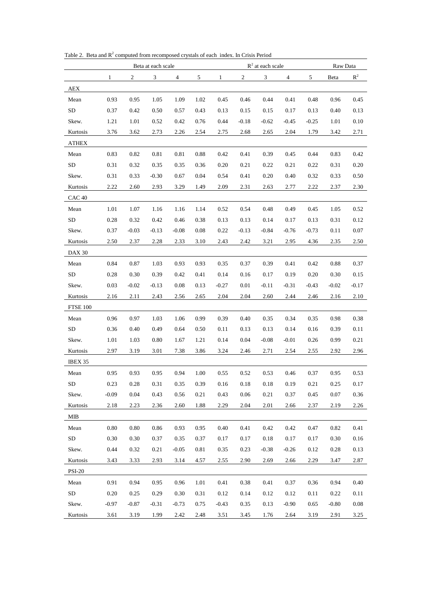<span id="page-17-0"></span>

|                   | Beta at each scale |                |         |         |      | $R^2$ at each scale |            |          |                |         | Raw Data |                |
|-------------------|--------------------|----------------|---------|---------|------|---------------------|------------|----------|----------------|---------|----------|----------------|
|                   | 1                  | $\overline{c}$ | 3       | 4       | 5    | 1                   | $\sqrt{2}$ | 3        | $\overline{4}$ | 5       | Beta     | $\mathbb{R}^2$ |
| AEX               |                    |                |         |         |      |                     |            |          |                |         |          |                |
| Mean              | 0.93               | 0.95           | 1.05    | 1.09    | 1.02 | 0.45                | 0.46       | 0.44     | 0.41           | 0.48    | 0.96     | 0.45           |
| <b>SD</b>         | 0.37               | 0.42           | 0.50    | 0.57    | 0.43 | 0.13                | 0.15       | 0.15     | 0.17           | 0.13    | 0.40     | 0.13           |
| Skew.             | 1.21               | 1.01           | 0.52    | 0.42    | 0.76 | 0.44                | $-0.18$    | $-0.62$  | $-0.45$        | $-0.25$ | 1.01     | 0.10           |
| Kurtosis          | 3.76               | 3.62           | 2.73    | 2.26    | 2.54 | 2.75                | 2.68       | 2.65     | 2.04           | 1.79    | 3.42     | 2.71           |
| ATHEX             |                    |                |         |         |      |                     |            |          |                |         |          |                |
| Mean              | 0.83               | 0.82           | 0.81    | 0.81    | 0.88 | 0.42                | 0.41       | 0.39     | 0.45           | 0.44    | 0.83     | 0.42           |
| SD                | 0.31               | 0.32           | 0.35    | 0.35    | 0.36 | 0.20                | 0.21       | 0.22     | 0.21           | 0.22    | 0.31     | 0.20           |
| Skew.             | 0.31               | 0.33           | $-0.30$ | 0.67    | 0.04 | 0.54                | 0.41       | 0.20     | 0.40           | 0.32    | 0.33     | 0.50           |
| Kurtosis          | 2.22               | 2.60           | 2.93    | 3.29    | 1.49 | 2.09                | 2.31       | 2.63     | 2.77           | 2.22    | 2.37     | 2.30           |
| CAC <sub>40</sub> |                    |                |         |         |      |                     |            |          |                |         |          |                |
| Mean              | 1.01               | 1.07           | 1.16    | 1.16    | 1.14 | 0.52                | 0.54       | 0.48     | 0.49           | 0.45    | 1.05     | 0.52           |
| ${\rm SD}$        | 0.28               | 0.32           | 0.42    | 0.46    | 0.38 | 0.13                | 0.13       | 0.14     | 0.17           | 0.13    | 0.31     | 0.12           |
| Skew.             | 0.37               | $-0.03$        | $-0.13$ | $-0.08$ | 0.08 | 0.22                | $-0.13$    | $-0.84$  | $-0.76$        | $-0.73$ | 0.11     | 0.07           |
| Kurtosis          | 2.50               | 2.37           | 2.28    | 2.33    | 3.10 | 2.43                | 2.42       | 3.21     | 2.95           | 4.36    | 2.35     | 2.50           |
| <b>DAX 30</b>     |                    |                |         |         |      |                     |            |          |                |         |          |                |
| Mean              | 0.84               | 0.87           | 1.03    | 0.93    | 0.93 | 0.35                | 0.37       | 0.39     | 0.41           | 0.42    | 0.88     | 0.37           |
| <b>SD</b>         | 0.28               | 0.30           | 0.39    | 0.42    | 0.41 | 0.14                | 0.16       | 0.17     | 0.19           | 0.20    | 0.30     | 0.15           |
| Skew.             | 0.03               | $-0.02$        | $-0.13$ | 0.08    | 0.13 | $-0.27$             | 0.01       | $-0.11$  | $-0.31$        | $-0.43$ | $-0.02$  | $-0.17$        |
| Kurtosis          | 2.16               | 2.11           | 2.43    | 2.56    | 2.65 | 2.04                | 2.04       | 2.60     | 2.44           | 2.46    | 2.16     | 2.10           |
| FTSE 100          |                    |                |         |         |      |                     |            |          |                |         |          |                |
| Mean              | 0.96               | 0.97           | 1.03    | 1.06    | 0.99 | 0.39                | 0.40       | 0.35     | 0.34           | 0.35    | 0.98     | 0.38           |
| <b>SD</b>         | 0.36               | 0.40           | 0.49    | 0.64    | 0.50 | 0.11                | 0.13       | 0.13     | 0.14           | 0.16    | 0.39     | 0.11           |
| Skew.             | 1.01               | 1.03           | 0.80    | 1.67    | 1.21 | 0.14                | 0.04       | $-0.08$  | $-0.01$        | 0.26    | 0.99     | 0.21           |
| Kurtosis          | 2.97               | 3.19           | 3.01    | 7.38    | 3.86 | 3.24                | 2.46       | 2.71     | 2.54           | 2.55    | 2.92     | 2.96           |
| IBEX 35           |                    |                |         |         |      |                     |            |          |                |         |          |                |
| Mean              | 0.95               | 0.93           | 0.95    | 0.94    | 1.00 | 0.55                | 0.52       | 0.53     | 0.46           | 0.37    | 0.95     | 0.53           |
| SD                | 0.23               | 0.28           | 0.31    | 0.35    | 0.39 | 0.16                | $0.18\,$   | $0.18\,$ | 0.19           | 0.21    | 0.25     | $0.17\,$       |
| Skew.             | $-0.09$            | $0.04\,$       | 0.43    | 0.56    | 0.21 | 0.43                | 0.06       | 0.21     | 0.37           | 0.45    | 0.07     | 0.36           |
| Kurtosis          | 2.18               | 2.23           | 2.36    | 2.60    | 1.88 | 2.29                | 2.04       | 2.01     | 2.66           | 2.37    | 2.19     | 2.26           |
| <b>MIB</b>        |                    |                |         |         |      |                     |            |          |                |         |          |                |
| ${\bf Mean}$      | 0.80               | 0.80           | 0.86    | 0.93    | 0.95 | 0.40                | 0.41       | 0.42     | 0.42           | 0.47    | 0.82     | 0.41           |
| SD                | 0.30               | 0.30           | 0.37    | 0.35    | 0.37 | 0.17                | 0.17       | 0.18     | 0.17           | 0.17    | 0.30     | 0.16           |
| Skew.             | 0.44               | 0.32           | 0.21    | $-0.05$ | 0.81 | 0.35                | 0.23       | $-0.38$  | $-0.26$        | 0.12    | 0.28     | 0.13           |
| Kurtosis          | 3.43               | 3.33           | 2.93    | 3.14    | 4.57 | 2.55                | 2.90       | 2.69     | 2.66           | 2.29    | 3.47     | 2.87           |
| <b>PSI-20</b>     |                    |                |         |         |      |                     |            |          |                |         |          |                |
| Mean              | 0.91               | 0.94           | 0.95    | 0.96    | 1.01 | 0.41                | 0.38       | 0.41     | 0.37           | 0.36    | 0.94     | 0.40           |
| SD                | 0.20               | 0.25           | 0.29    | 0.30    | 0.31 | 0.12                | 0.14       | 0.12     | 0.12           | 0.11    | 0.22     | 0.11           |
| Skew.             | $-0.97$            | $-0.87$        | $-0.31$ | $-0.73$ | 0.75 | $-0.43$             | 0.35       | 0.13     | $-0.90$        | 0.65    | $-0.80$  | $0.08\,$       |
| Kurtosis          | 3.61               | 3.19           | 1.99    | 2.42    | 2.48 | 3.51                | 3.45       | 1.76     | 2.64           | 3.19    | 2.91     | 3.25           |

Table 2. Beta and  $R^2$  computed from recomposed crystals of each index. In Crisis Period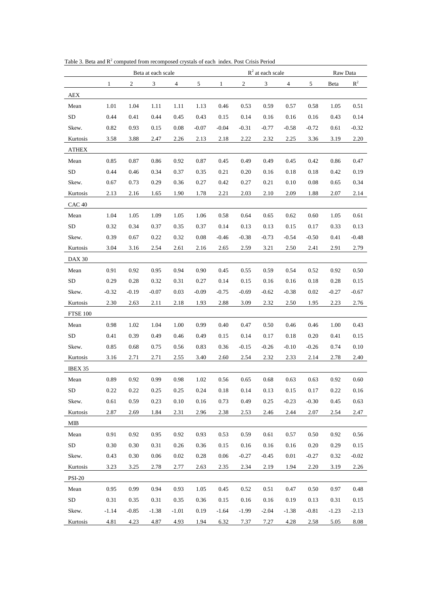|                   | Beta at each scale |                  |         |         |         |          |                | $R^2$ at each scale |                |         | Raw Data |         |  |
|-------------------|--------------------|------------------|---------|---------|---------|----------|----------------|---------------------|----------------|---------|----------|---------|--|
|                   | 1                  | $\boldsymbol{2}$ | 3       | 4       | 5       | 1        | $\mathfrak{2}$ | 3                   | $\overline{4}$ | 5       | Beta     | $R^2$   |  |
| AEX               |                    |                  |         |         |         |          |                |                     |                |         |          |         |  |
| Mean              | 1.01               | 1.04             | 1.11    | 1.11    | 1.13    | 0.46     | 0.53           | 0.59                | 0.57           | 0.58    | 1.05     | 0.51    |  |
| <b>SD</b>         | 0.44               | 0.41             | 0.44    | 0.45    | 0.43    | 0.15     | 0.14           | 0.16                | 0.16           | 0.16    | 0.43     | 0.14    |  |
| Skew.             | 0.82               | 0.93             | 0.15    | 0.08    | $-0.07$ | $-0.04$  | $-0.31$        | $-0.77$             | $-0.58$        | $-0.72$ | 0.61     | $-0.32$ |  |
| Kurtosis          | 3.58               | 3.88             | 2.47    | 2.26    | 2.13    | 2.18     | 2.22           | 2.32                | 2.25           | 3.36    | 3.19     | 2.20    |  |
| ATHEX             |                    |                  |         |         |         |          |                |                     |                |         |          |         |  |
| Mean              | 0.85               | 0.87             | 0.86    | 0.92    | 0.87    | 0.45     | 0.49           | 0.49                | 0.45           | 0.42    | 0.86     | 0.47    |  |
| SD                | 0.44               | 0.46             | 0.34    | 0.37    | 0.35    | 0.21     | 0.20           | 0.16                | 0.18           | 0.18    | 0.42     | 0.19    |  |
| Skew.             | 0.67               | 0.73             | 0.29    | 0.36    | 0.27    | 0.42     | 0.27           | 0.21                | 0.10           | 0.08    | 0.65     | 0.34    |  |
| Kurtosis          | 2.13               | 2.16             | 1.65    | 1.90    | 1.78    | 2.21     | 2.03           | 2.10                | 2.09           | 1.88    | 2.07     | 2.14    |  |
| CAC <sub>40</sub> |                    |                  |         |         |         |          |                |                     |                |         |          |         |  |
| Mean              | 1.04               | 1.05             | 1.09    | 1.05    | 1.06    | 0.58     | 0.64           | 0.65                | 0.62           | 0.60    | 1.05     | 0.61    |  |
| <b>SD</b>         | 0.32               | 0.34             | 0.37    | 0.35    | 0.37    | 0.14     | 0.13           | 0.13                | 0.15           | 0.17    | 0.33     | 0.13    |  |
| Skew.             | 0.39               | 0.67             | 0.22    | 0.32    | 0.08    | $-0.46$  | $-0.38$        | $-0.73$             | $-0.54$        | $-0.50$ | 0.41     | $-0.48$ |  |
| Kurtosis          | 3.04               | 3.16             | 2.54    | 2.61    | 2.16    | 2.65     | 2.59           | 3.21                | 2.50           | 2.41    | 2.91     | 2.79    |  |
| <b>DAX 30</b>     |                    |                  |         |         |         |          |                |                     |                |         |          |         |  |
| Mean              | 0.91               | 0.92             | 0.95    | 0.94    | 0.90    | 0.45     | 0.55           | 0.59                | 0.54           | 0.52    | 0.92     | 0.50    |  |
| <b>SD</b>         | 0.29               | 0.28             | 0.32    | 0.31    | 0.27    | 0.14     | 0.15           | 0.16                | 0.16           | 0.18    | 0.28     | 0.15    |  |
| Skew.             | $-0.32$            | $-0.19$          | $-0.07$ | 0.03    | $-0.09$ | $-0.75$  | $-0.69$        | $-0.62$             | $-0.38$        | 0.02    | $-0.27$  | $-0.67$ |  |
| Kurtosis          | 2.30               | 2.63             | 2.11    | 2.18    | 1.93    | 2.88     | 3.09           | 2.32                | 2.50           | 1.95    | 2.23     | 2.76    |  |
| <b>FTSE 100</b>   |                    |                  |         |         |         |          |                |                     |                |         |          |         |  |
| Mean              | 0.98               | 1.02             | 1.04    | 1.00    | 0.99    | 0.40     | 0.47           | 0.50                | 0.46           | 0.46    | 1.00     | 0.43    |  |
| SD                | 0.41               | 0.39             | 0.49    | 0.46    | 0.49    | 0.15     | 0.14           | 0.17                | 0.18           | 0.20    | 0.41     | 0.15    |  |
| Skew.             | 0.85               | 0.68             | 0.75    | 0.56    | 0.83    | 0.36     | $-0.15$        | $-0.26$             | $-0.10$        | $-0.26$ | 0.74     | 0.10    |  |
| Kurtosis          | 3.16               | 2.71             | 2.71    | 2.55    | 3.40    | 2.60     | 2.54           | 2.32                | 2.33           | 2.14    | 2.78     | 2.40    |  |
| IBEX 35           |                    |                  |         |         |         |          |                |                     |                |         |          |         |  |
| Mean              | 0.89               | 0.92             | 0.99    | 0.98    | 1.02    | 0.56     | 0.65           | 0.68                | 0.63           | 0.63    | 0.92     | 0.60    |  |
| SD                | 0.22               | 0.22             | 0.25    | 0.25    | 0.24    | $0.18\,$ | 0.14           | 0.13                | 0.15           | 0.17    | $0.22\,$ | 0.16    |  |
| Skew.             | 0.61               | 0.59             | 0.23    | 0.10    | 0.16    | 0.73     | 0.49           | 0.25                | $-0.23$        | $-0.30$ | 0.45     | 0.63    |  |
| Kurtosis          | 2.87               | 2.69             | 1.84    | 2.31    | 2.96    | 2.38     | 2.53           | 2.46                | 2.44           | 2.07    | 2.54     | 2.47    |  |
| MIB               |                    |                  |         |         |         |          |                |                     |                |         |          |         |  |
| Mean              | 0.91               | 0.92             | 0.95    | 0.92    | 0.93    | 0.53     | 0.59           | 0.61                | 0.57           | 0.50    | 0.92     | 0.56    |  |
| SD                | 0.30               | 0.30             | 0.31    | 0.26    | 0.36    | 0.15     | 0.16           | 0.16                | 0.16           | 0.20    | 0.29     | 0.15    |  |
| Skew.             | 0.43               | 0.30             | 0.06    | 0.02    | 0.28    | 0.06     | $-0.27$        | $-0.45$             | 0.01           | $-0.27$ | 0.32     | $-0.02$ |  |
| Kurtosis          | 3.23               | 3.25             | 2.78    | 2.77    | 2.63    | 2.35     | 2.34           | 2.19                | 1.94           | 2.20    | 3.19     | 2.26    |  |
| <b>PSI-20</b>     |                    |                  |         |         |         |          |                |                     |                |         |          |         |  |
| Mean              | 0.95               | 0.99             | 0.94    | 0.93    | 1.05    | 0.45     | 0.52           | 0.51                | 0.47           | 0.50    | 0.97     | 0.48    |  |
| SD                | 0.31               | 0.35             | 0.31    | 0.35    | 0.36    | 0.15     | 0.16           | 0.16                | 0.19           | 0.13    | 0.31     | 0.15    |  |
| Skew.             | $-1.14$            | $-0.85$          | $-1.38$ | $-1.01$ | 0.19    | $-1.64$  | $-1.99$        | $-2.04$             | $-1.38$        | $-0.81$ | $-1.23$  | $-2.13$ |  |
| Kurtosis          | 4.81               | 4.23             | 4.87    | 4.93    | 1.94    | 6.32     | 7.37           | 7.27                | 4.28           | 2.58    | 5.05     | 8.08    |  |

<span id="page-18-0"></span>Table 3. Beta and  $R^2$  computed from recomposed crystals of each index. Post Crisis Period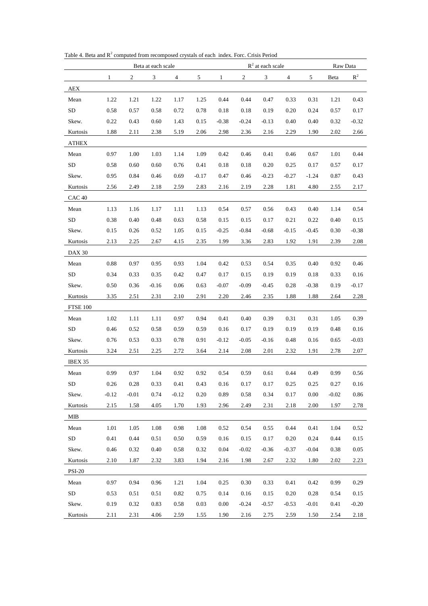|                   | Beta at each scale |                |         |         |         | $R^2$ at each scale |            |          |         |         | Raw Data |          |  |
|-------------------|--------------------|----------------|---------|---------|---------|---------------------|------------|----------|---------|---------|----------|----------|--|
|                   | 1                  | $\overline{c}$ | 3       | 4       | 5       | $\mathbf{1}$        | $\sqrt{2}$ | 3        | 4       | 5       | Beta     | $R^2$    |  |
| AEX               |                    |                |         |         |         |                     |            |          |         |         |          |          |  |
| Mean              | 1.22               | 1.21           | 1.22    | 1.17    | 1.25    | 0.44                | 0.44       | 0.47     | 0.33    | 0.31    | 1.21     | 0.43     |  |
| <b>SD</b>         | 0.58               | 0.57           | 0.58    | 0.72    | 0.78    | 0.18                | 0.18       | 0.19     | 0.20    | 0.24    | 0.57     | 0.17     |  |
| Skew.             | 0.22               | 0.43           | 0.60    | 1.43    | 0.15    | $-0.38$             | $-0.24$    | $-0.13$  | 0.40    | 0.40    | 0.32     | $-0.32$  |  |
| Kurtosis          | 1.88               | 2.11           | 2.38    | 5.19    | 2.06    | 2.98                | 2.36       | 2.16     | 2.29    | 1.90    | 2.02     | 2.66     |  |
| ATHEX             |                    |                |         |         |         |                     |            |          |         |         |          |          |  |
| Mean              | 0.97               | 1.00           | 1.03    | 1.14    | 1.09    | 0.42                | 0.46       | 0.41     | 0.46    | 0.67    | 1.01     | 0.44     |  |
| <b>SD</b>         | 0.58               | 0.60           | 0.60    | 0.76    | 0.41    | 0.18                | 0.18       | 0.20     | 0.25    | 0.17    | 0.57     | 0.17     |  |
| Skew.             | 0.95               | 0.84           | 0.46    | 0.69    | $-0.17$ | 0.47                | 0.46       | $-0.23$  | $-0.27$ | $-1.24$ | 0.87     | 0.43     |  |
| Kurtosis          | 2.56               | 2.49           | 2.18    | 2.59    | 2.83    | 2.16                | 2.19       | 2.28     | 1.81    | 4.80    | 2.55     | 2.17     |  |
| CAC <sub>40</sub> |                    |                |         |         |         |                     |            |          |         |         |          |          |  |
| Mean              | 1.13               | 1.16           | 1.17    | 1.11    | 1.13    | 0.54                | 0.57       | 0.56     | 0.43    | 0.40    | 1.14     | 0.54     |  |
| <b>SD</b>         | 0.38               | 0.40           | 0.48    | 0.63    | 0.58    | 0.15                | 0.15       | 0.17     | 0.21    | 0.22    | 0.40     | 0.15     |  |
| Skew.             | 0.15               | 0.26           | 0.52    | 1.05    | 0.15    | $-0.25$             | $-0.84$    | $-0.68$  | $-0.15$ | $-0.45$ | 0.30     | $-0.38$  |  |
| Kurtosis          | 2.13               | 2.25           | 2.67    | 4.15    | 2.35    | 1.99                | 3.36       | 2.83     | 1.92    | 1.91    | 2.39     | 2.08     |  |
| <b>DAX 30</b>     |                    |                |         |         |         |                     |            |          |         |         |          |          |  |
| Mean              | 0.88               | 0.97           | 0.95    | 0.93    | 1.04    | 0.42                | 0.53       | 0.54     | 0.35    | 0.40    | 0.92     | 0.46     |  |
| <b>SD</b>         | 0.34               | 0.33           | 0.35    | 0.42    | 0.47    | 0.17                | 0.15       | 0.19     | 0.19    | 0.18    | 0.33     | 0.16     |  |
| Skew.             | 0.50               | 0.36           | $-0.16$ | 0.06    | 0.63    | $-0.07$             | $-0.09$    | $-0.45$  | 0.28    | $-0.38$ | 0.19     | $-0.17$  |  |
| Kurtosis          | 3.35               | 2.51           | 2.31    | 2.10    | 2.91    | 2.20                | 2.46       | 2.35     | 1.88    | 1.88    | 2.64     | 2.28     |  |
| FTSE 100          |                    |                |         |         |         |                     |            |          |         |         |          |          |  |
| Mean              | 1.02               | 1.11           | 1.11    | 0.97    | 0.94    | 0.41                | 0.40       | 0.39     | 0.31    | 0.31    | 1.05     | 0.39     |  |
| <b>SD</b>         | 0.46               | 0.52           | 0.58    | 0.59    | 0.59    | 0.16                | 0.17       | 0.19     | 0.19    | 0.19    | 0.48     | 0.16     |  |
| Skew.             | 0.76               | 0.53           | 0.33    | 0.78    | 0.91    | $-0.12$             | $-0.05$    | $-0.16$  | 0.48    | 0.16    | 0.65     | $-0.03$  |  |
| Kurtosis          | 3.24               | 2.51           | 2.25    | 2.72    | 3.64    | 2.14                | 2.08       | 2.01     | 2.32    | 1.91    | 2.78     | 2.07     |  |
| IBEX 35           |                    |                |         |         |         |                     |            |          |         |         |          |          |  |
| Mean              | 0.99               | 0.97           | 1.04    | 0.92    | 0.92    | 0.54                | 0.59       | 0.61     | 0.44    | 0.49    | 0.99     | 0.56     |  |
| SD                | $0.26\,$           | $0.28\,$       | 0.33    | 0.41    | 0.43    | 0.16                | $0.17\,$   | $0.17\,$ | 0.25    | 0.25    | $0.27\,$ | $0.16\,$ |  |
| Skew.             | $-0.12$            | $-0.01$        | 0.74    | $-0.12$ | 0.20    | 0.89                | 0.58       | 0.34     | 0.17    | 0.00    | $-0.02$  | 0.86     |  |
| Kurtosis          | 2.15               | 1.58           | 4.05    | 1.70    | 1.93    | 2.96                | 2.49       | 2.31     | 2.18    | 2.00    | 1.97     | 2.78     |  |
| <b>MIB</b>        |                    |                |         |         |         |                     |            |          |         |         |          |          |  |
| Mean              | 1.01               | 1.05           | 1.08    | 0.98    | 1.08    | 0.52                | 0.54       | 0.55     | 0.44    | 0.41    | 1.04     | 0.52     |  |
| SD                | 0.41               | 0.44           | 0.51    | 0.50    | 0.59    | 0.16                | 0.15       | 0.17     | 0.20    | 0.24    | 0.44     | 0.15     |  |
| Skew.             | 0.46               | 0.32           | 0.40    | 0.58    | 0.32    | 0.04                | $-0.02$    | $-0.36$  | $-0.37$ | $-0.04$ | 0.38     | 0.05     |  |
| Kurtosis          | 2.10               | 1.87           | 2.32    | 3.83    | 1.94    | 2.16                | 1.98       | 2.67     | 2.32    | 1.80    | 2.02     | 2.23     |  |
| <b>PSI-20</b>     |                    |                |         |         |         |                     |            |          |         |         |          |          |  |
| Mean              | 0.97               | 0.94           | 0.96    | 1.21    | 1.04    | 0.25                | 0.30       | 0.33     | 0.41    | 0.42    | 0.99     | 0.29     |  |
| SD                | 0.53               | 0.51           | 0.51    | 0.82    | 0.75    | 0.14                | 0.16       | 0.15     | 0.20    | 0.28    | 0.54     | 0.15     |  |
| Skew.             | 0.19               | 0.32           | 0.83    | 0.58    | 0.03    | 0.00                | $-0.24$    | $-0.57$  | $-0.53$ | $-0.01$ | 0.41     | $-0.20$  |  |
| Kurtosis          | $2.11\,$           | 2.31           | 4.06    | 2.59    | 1.55    | 1.90                | 2.16       | 2.75     | 2.59    | 1.50    | 2.54     | 2.18     |  |

<span id="page-19-0"></span>Table 4. Beta and  $R^2$  computed from recomposed crystals of each index. Forc. Crisis Period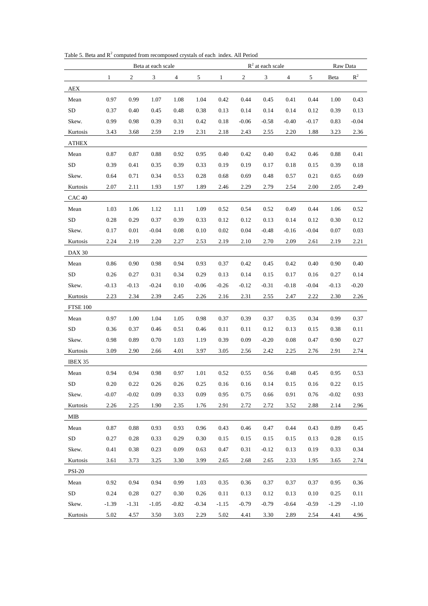<span id="page-20-1"></span>

|                   | Beta at each scale |                  |         |         |         |         | $R^2$ at each scale |         | Raw Data |         |         |         |
|-------------------|--------------------|------------------|---------|---------|---------|---------|---------------------|---------|----------|---------|---------|---------|
|                   | 1                  | $\boldsymbol{2}$ | 3       | 4       | 5       | 1       | $\boldsymbol{2}$    | 3       | 4        | 5       | Beta    | $R^2$   |
| AEX               |                    |                  |         |         |         |         |                     |         |          |         |         |         |
| Mean              | 0.97               | 0.99             | 1.07    | 1.08    | 1.04    | 0.42    | 0.44                | 0.45    | 0.41     | 0.44    | 1.00    | 0.43    |
| SD                | 0.37               | 0.40             | 0.45    | 0.48    | 0.38    | 0.13    | 0.14                | 0.14    | 0.14     | 0.12    | 0.39    | 0.13    |
| Skew.             | 0.99               | 0.98             | 0.39    | 0.31    | 0.42    | 0.18    | $-0.06$             | $-0.58$ | $-0.40$  | $-0.17$ | 0.83    | $-0.04$ |
| Kurtosis          | 3.43               | 3.68             | 2.59    | 2.19    | 2.31    | 2.18    | 2.43                | 2.55    | 2.20     | 1.88    | 3.23    | 2.36    |
| <b>ATHEX</b>      |                    |                  |         |         |         |         |                     |         |          |         |         |         |
| Mean              | 0.87               | 0.87             | 0.88    | 0.92    | 0.95    | 0.40    | 0.42                | 0.40    | 0.42     | 0.46    | 0.88    | 0.41    |
| ${\rm SD}$        | 0.39               | 0.41             | 0.35    | 0.39    | 0.33    | 0.19    | 0.19                | 0.17    | 0.18     | 0.15    | 0.39    | 0.18    |
| Skew.             | 0.64               | 0.71             | 0.34    | 0.53    | 0.28    | 0.68    | 0.69                | 0.48    | 0.57     | 0.21    | 0.65    | 0.69    |
| Kurtosis          | 2.07               | 2.11             | 1.93    | 1.97    | 1.89    | 2.46    | 2.29                | 2.79    | 2.54     | 2.00    | 2.05    | 2.49    |
| CAC <sub>40</sub> |                    |                  |         |         |         |         |                     |         |          |         |         |         |
| Mean              | 1.03               | 1.06             | 1.12    | 1.11    | 1.09    | 0.52    | 0.54                | 0.52    | 0.49     | 0.44    | 1.06    | 0.52    |
| <b>SD</b>         | 0.28               | 0.29             | 0.37    | 0.39    | 0.33    | 0.12    | 0.12                | 0.13    | 0.14     | 0.12    | 0.30    | 0.12    |
| Skew.             | 0.17               | 0.01             | $-0.04$ | 0.08    | 0.10    | 0.02    | 0.04                | $-0.48$ | $-0.16$  | $-0.04$ | 0.07    | 0.03    |
| Kurtosis          | 2.24               | 2.19             | 2.20    | 2.27    | 2.53    | 2.19    | 2.10                | 2.70    | 2.09     | 2.61    | 2.19    | 2.21    |
| <b>DAX 30</b>     |                    |                  |         |         |         |         |                     |         |          |         |         |         |
| Mean              | 0.86               | 0.90             | 0.98    | 0.94    | 0.93    | 0.37    | 0.42                | 0.45    | 0.42     | 0.40    | 0.90    | 0.40    |
| <b>SD</b>         | 0.26               | 0.27             | 0.31    | 0.34    | 0.29    | 0.13    | 0.14                | 0.15    | 0.17     | 0.16    | 0.27    | 0.14    |
| Skew.             | $-0.13$            | $-0.13$          | $-0.24$ | 0.10    | $-0.06$ | $-0.26$ | $-0.12$             | $-0.31$ | $-0.18$  | $-0.04$ | $-0.13$ | $-0.20$ |
| Kurtosis          | 2.23               | 2.34             | 2.39    | 2.45    | 2.26    | 2.16    | 2.31                | 2.55    | 2.47     | 2.22    | 2.30    | 2.26    |
| <b>FTSE 100</b>   |                    |                  |         |         |         |         |                     |         |          |         |         |         |
| Mean              | 0.97               | 1.00             | 1.04    | 1.05    | 0.98    | 0.37    | 0.39                | 0.37    | 0.35     | 0.34    | 0.99    | 0.37    |
| SD                | 0.36               | 0.37             | 0.46    | 0.51    | 0.46    | 0.11    | 0.11                | 0.12    | 0.13     | 0.15    | 0.38    | 0.11    |
| Skew.             | 0.98               | 0.89             | 0.70    | 1.03    | 1.19    | 0.39    | 0.09                | $-0.20$ | 0.08     | 0.47    | 0.90    | 0.27    |
| Kurtosis          | 3.09               | 2.90             | 2.66    | 4.01    | 3.97    | 3.05    | 2.56                | 2.42    | 2.25     | 2.76    | 2.91    | 2.74    |
| IBEX 35           |                    |                  |         |         |         |         |                     |         |          |         |         |         |
| Mean              | 0.94               | 0.94             | 0.98    | 0.97    | 1.01    | 0.52    | 0.55                | 0.56    | 0.48     | 0.45    | 0.95    | 0.53    |
| SD.               | 0.20               | 0.22             | 0.26    | 0.26    | 0.25    | 0.16    | 0.16                | 0.14    | 0.15     | 0.16    | 0.22    | 0.15    |
| Skew.             | $-0.07$            | $-0.02$          | 0.09    | 0.33    | 0.09    | 0.95    | 0.75                | 0.66    | 0.91     | 0.76    | $-0.02$ | 0.93    |
| Kurtosis          | 2.26               | 2.25             | 1.90    | 2.35    | 1.76    | 2.91    | 2.72                | 2.72    | 3.52     | 2.88    | 2.14    | 2.96    |
| <b>MIB</b>        |                    |                  |         |         |         |         |                     |         |          |         |         |         |
| Mean              | 0.87               | 0.88             | 0.93    | 0.93    | 0.96    | 0.43    | 0.46                | 0.47    | 0.44     | 0.43    | 0.89    | 0.45    |
| SD                | 0.27               | 0.28             | 0.33    | 0.29    | 0.30    | 0.15    | 0.15                | 0.15    | 0.15     | 0.13    | 0.28    | 0.15    |
| Skew.             | 0.41               | 0.38             | 0.23    | 0.09    | 0.63    | 0.47    | 0.31                | $-0.12$ | 0.13     | 0.19    | 0.33    | 0.34    |
| Kurtosis          | 3.61               | 3.73             | 3.25    | 3.30    | 3.99    | 2.65    | 2.68                | 2.65    | 2.33     | 1.95    | 3.65    | 2.74    |
| <b>PSI-20</b>     |                    |                  |         |         |         |         |                     |         |          |         |         |         |
| Mean              | 0.92               | 0.94             | 0.94    | 0.99    | 1.03    | 0.35    | 0.36                | 0.37    | 0.37     | 0.37    | 0.95    | 0.36    |
| SD                | 0.24               | 0.28             | 0.27    | 0.30    | 0.26    | 0.11    | 0.13                | 0.12    | 0.13     | 0.10    | 0.25    | 0.11    |
| Skew.             | $-1.39$            | $-1.31$          | $-1.05$ | $-0.82$ | $-0.34$ | $-1.15$ | $-0.79$             | $-0.79$ | $-0.64$  | $-0.59$ | $-1.29$ | $-1.10$ |
| Kurtosis          | 5.02               | 4.57             | 3.50    | 3.03    | 2.29    | 5.02    | 4.41                | 3.30    | 2.89     | 2.54    | 4.41    | 4.96    |

<span id="page-20-0"></span>Table 5. Beta and  $R^2$  computed from recomposed crystals of each index. All Period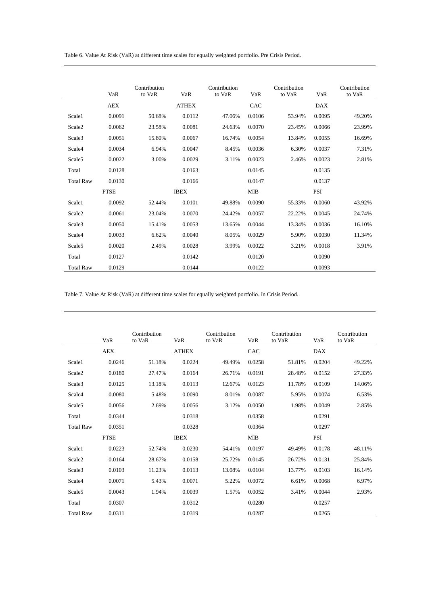Table 6. Value At Risk (VaR) at different time scales for equally weighted portfolio. Pre Crisis Period.

<span id="page-21-1"></span>

|                    | VaR         | Contribution<br>to VaR | VaR          | Contribution<br>to VaR | VaR        | Contribution<br>to VaR | VaR        | Contribution<br>to VaR |
|--------------------|-------------|------------------------|--------------|------------------------|------------|------------------------|------------|------------------------|
|                    | <b>AEX</b>  |                        | <b>ATHEX</b> |                        | CAC        |                        | <b>DAX</b> |                        |
| Scale1             | 0.0091      | 50.68%                 | 0.0112       | 47.06%                 | 0.0106     | 53.94%                 | 0.0095     | 49.20%                 |
| Scale2             | 0.0062      | 23.58%                 | 0.0081       | 24.63%                 | 0.0070     | 23.45%                 | 0.0066     | 23.99%                 |
| Scale3             | 0.0051      | 15.80%                 | 0.0067       | 16.74%                 | 0.0054     | 13.84%                 | 0.0055     | 16.69%                 |
| Scale4             | 0.0034      | 6.94%                  | 0.0047       | 8.45%                  | 0.0036     | 6.30%                  | 0.0037     | 7.31%                  |
| Scale <sub>5</sub> | 0.0022      | 3.00%                  | 0.0029       | 3.11%                  | 0.0023     | 2.46%                  | 0.0023     | 2.81%                  |
| Total              | 0.0128      |                        | 0.0163       |                        | 0.0145     |                        | 0.0135     |                        |
| <b>Total Raw</b>   | 0.0130      |                        | 0.0166       |                        | 0.0147     |                        | 0.0137     |                        |
|                    | <b>FTSE</b> |                        | <b>IBEX</b>  |                        | <b>MIB</b> |                        | <b>PSI</b> |                        |
| Scale1             | 0.0092      | 52.44%                 | 0.0101       | 49.88%                 | 0.0090     | 55.33%                 | 0.0060     | 43.92%                 |
| Scale <sub>2</sub> | 0.0061      | 23.04%                 | 0.0070       | 24.42%                 | 0.0057     | 22.22%                 | 0.0045     | 24.74%                 |
| Scale <sub>3</sub> | 0.0050      | 15.41%                 | 0.0053       | 13.65%                 | 0.0044     | 13.34%                 | 0.0036     | 16.10%                 |
| Scale4             | 0.0033      | 6.62%                  | 0.0040       | 8.05%                  | 0.0029     | 5.90%                  | 0.0030     | 11.34%                 |
| Scale <sub>5</sub> | 0.0020      | 2.49%                  | 0.0028       | 3.99%                  | 0.0022     | 3.21%                  | 0.0018     | 3.91%                  |
| Total              | 0.0127      |                        | 0.0142       |                        | 0.0120     |                        | 0.0090     |                        |
| <b>Total Raw</b>   | 0.0129      |                        | 0.0144       |                        | 0.0122     |                        | 0.0093     |                        |

<span id="page-21-0"></span>Table 7. Value At Risk (VaR) at different time scales for equally weighted portfolio. In Crisis Period.

|                    | VaR         | Contribution<br>to VaR | VaR          | Contribution<br>to VaR | VaR        | Contribution<br>to VaR | VaR        | Contribution<br>to VaR |
|--------------------|-------------|------------------------|--------------|------------------------|------------|------------------------|------------|------------------------|
|                    | <b>AEX</b>  |                        | <b>ATHEX</b> |                        | CAC        |                        | <b>DAX</b> |                        |
| Scale1             | 0.0246      | 51.18%                 | 0.0224       | 49.49%                 | 0.0258     | 51.81%                 | 0.0204     | 49.22%                 |
| Scale2             | 0.0180      | 27.47%                 | 0.0164       | 26.71%                 | 0.0191     | 28.48%                 | 0.0152     | 27.33%                 |
| Scale3             | 0.0125      | 13.18%                 | 0.0113       | 12.67%                 | 0.0123     | 11.78%                 | 0.0109     | 14.06%                 |
| Scale4             | 0.0080      | 5.48%                  | 0.0090       | 8.01%                  | 0.0087     | 5.95%                  | 0.0074     | 6.53%                  |
| Scale <sub>5</sub> | 0.0056      | 2.69%                  | 0.0056       | 3.12%                  | 0.0050     | 1.98%                  | 0.0049     | 2.85%                  |
| Total              | 0.0344      |                        | 0.0318       |                        | 0.0358     |                        | 0.0291     |                        |
| <b>Total Raw</b>   | 0.0351      |                        | 0.0328       |                        | 0.0364     |                        | 0.0297     |                        |
|                    | <b>FTSE</b> |                        | <b>IBEX</b>  |                        | <b>MIB</b> |                        | PSI        |                        |
| Scale1             | 0.0223      | 52.74%                 | 0.0230       | 54.41%                 | 0.0197     | 49.49%                 | 0.0178     | 48.11%                 |
| Scale <sub>2</sub> | 0.0164      | 28.67%                 | 0.0158       | 25.72%                 | 0.0145     | 26.72%                 | 0.0131     | 25.84%                 |
| Scale3             | 0.0103      | 11.23%                 | 0.0113       | 13.08%                 | 0.0104     | 13.77%                 | 0.0103     | 16.14%                 |
| Scale4             | 0.0071      | 5.43%                  | 0.0071       | 5.22%                  | 0.0072     | 6.61%                  | 0.0068     | 6.97%                  |
| Scale <sub>5</sub> | 0.0043      | 1.94%                  | 0.0039       | 1.57%                  | 0.0052     | 3.41%                  | 0.0044     | 2.93%                  |
| Total              | 0.0307      |                        | 0.0312       |                        | 0.0280     |                        | 0.0257     |                        |
| <b>Total Raw</b>   | 0.0311      |                        | 0.0319       |                        | 0.0287     |                        | 0.0265     |                        |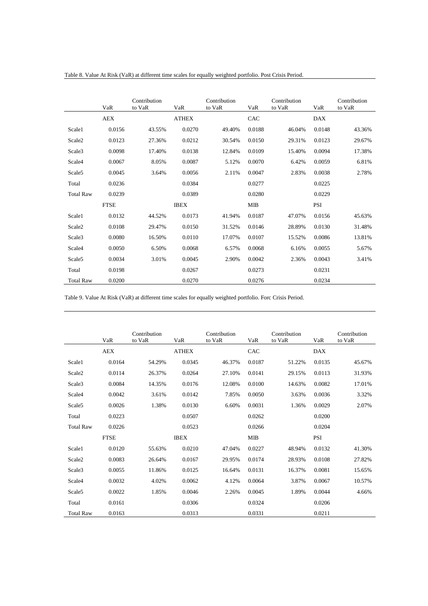|                    | VaR         | Contribution<br>to VaR | VaR          | Contribution<br>to VaR | VaR        | Contribution<br>to VaR | VaR        | Contribution<br>to VaR |
|--------------------|-------------|------------------------|--------------|------------------------|------------|------------------------|------------|------------------------|
|                    | <b>AEX</b>  |                        | <b>ATHEX</b> |                        | CAC        |                        | <b>DAX</b> |                        |
| Scale1             | 0.0156      | 43.55%                 | 0.0270       | 49.40%                 | 0.0188     | 46.04%                 | 0.0148     | 43.36%                 |
| Scale2             | 0.0123      | 27.36%                 | 0.0212       | 30.54%                 | 0.0150     | 29.31%                 | 0.0123     | 29.67%                 |
| Scale3             | 0.0098      | 17.40%                 | 0.0138       | 12.84%                 | 0.0109     | 15.40%                 | 0.0094     | 17.38%                 |
| Scale4             | 0.0067      | 8.05%                  | 0.0087       | 5.12%                  | 0.0070     | 6.42%                  | 0.0059     | 6.81%                  |
| Scale5             | 0.0045      | 3.64%                  | 0.0056       | 2.11%                  | 0.0047     | 2.83%                  | 0.0038     | 2.78%                  |
| Total              | 0.0236      |                        | 0.0384       |                        | 0.0277     |                        | 0.0225     |                        |
| <b>Total Raw</b>   | 0.0239      |                        | 0.0389       |                        | 0.0280     |                        | 0.0229     |                        |
|                    | <b>FTSE</b> |                        | <b>IBEX</b>  |                        | <b>MIB</b> |                        | <b>PSI</b> |                        |
| Scale1             | 0.0132      | 44.52%                 | 0.0173       | 41.94%                 | 0.0187     | 47.07%                 | 0.0156     | 45.63%                 |
| Scale <sub>2</sub> | 0.0108      | 29.47%                 | 0.0150       | 31.52%                 | 0.0146     | 28.89%                 | 0.0130     | 31.48%                 |
| Scale3             | 0.0080      | 16.50%                 | 0.0110       | 17.07%                 | 0.0107     | 15.52%                 | 0.0086     | 13.81%                 |
| Scale4             | 0.0050      | 6.50%                  | 0.0068       | 6.57%                  | 0.0068     | 6.16%                  | 0.0055     | 5.67%                  |
| Scale5             | 0.0034      | 3.01%                  | 0.0045       | 2.90%                  | 0.0042     | 2.36%                  | 0.0043     | 3.41%                  |
| Total              | 0.0198      |                        | 0.0267       |                        | 0.0273     |                        | 0.0231     |                        |
| <b>Total Raw</b>   | 0.0200      |                        | 0.0270       |                        | 0.0276     |                        | 0.0234     |                        |

<span id="page-22-12"></span>Table 8. Value At Risk (VaR) at different time scales for equally weighted portfolio. Post Crisis Period.

Table 9. Value At Risk (VaR) at different time scales for equally weighted portfolio. Forc Crisis Period.

<span id="page-22-11"></span><span id="page-22-10"></span><span id="page-22-9"></span><span id="page-22-8"></span><span id="page-22-7"></span><span id="page-22-6"></span><span id="page-22-5"></span><span id="page-22-4"></span><span id="page-22-3"></span><span id="page-22-2"></span><span id="page-22-1"></span><span id="page-22-0"></span>

|                    | VaR         | Contribution<br>to VaR | VaR          | Contribution<br>to VaR | VaR        | Contribution<br>to VaR | VaR    | Contribution<br>to VaR |
|--------------------|-------------|------------------------|--------------|------------------------|------------|------------------------|--------|------------------------|
|                    | <b>AEX</b>  |                        | <b>ATHEX</b> |                        | CAC        |                        | DAX    |                        |
| Scale1             | 0.0164      | 54.29%                 | 0.0345       | 46.37%                 | 0.0187     | 51.22%                 | 0.0135 | 45.67%                 |
| Scale <sub>2</sub> | 0.0114      | 26.37%                 | 0.0264       | 27.10%                 | 0.0141     | 29.15%                 | 0.0113 | 31.93%                 |
| Scale3             | 0.0084      | 14.35%                 | 0.0176       | 12.08%                 | 0.0100     | 14.63%                 | 0.0082 | 17.01%                 |
| Scale4             | 0.0042      | 3.61%                  | 0.0142       | 7.85%                  | 0.0050     | 3.63%                  | 0.0036 | 3.32%                  |
| Scale <sub>5</sub> | 0.0026      | 1.38%                  | 0.0130       | 6.60%                  | 0.0031     | 1.36%                  | 0.0029 | 2.07%                  |
| Total              | 0.0223      |                        | 0.0507       |                        | 0.0262     |                        | 0.0200 |                        |
| <b>Total Raw</b>   | 0.0226      |                        | 0.0523       |                        | 0.0266     |                        | 0.0204 |                        |
|                    | <b>FTSE</b> |                        | <b>IBEX</b>  |                        | <b>MIB</b> |                        | PSI    |                        |
| Scale1             | 0.0120      | 55.63%                 | 0.0210       | 47.04%                 | 0.0227     | 48.94%                 | 0.0132 | 41.30%                 |
| Scale <sub>2</sub> | 0.0083      | 26.64%                 | 0.0167       | 29.95%                 | 0.0174     | 28.93%                 | 0.0108 | 27.82%                 |
| Scale3             | 0.0055      | 11.86%                 | 0.0125       | 16.64%                 | 0.0131     | 16.37%                 | 0.0081 | 15.65%                 |
| Scale4             | 0.0032      | 4.02%                  | 0.0062       | 4.12%                  | 0.0064     | 3.87%                  | 0.0067 | 10.57%                 |
| Scale <sub>5</sub> | 0.0022      | 1.85%                  | 0.0046       | 2.26%                  | 0.0045     | 1.89%                  | 0.0044 | 4.66%                  |
| Total              | 0.0161      |                        | 0.0306       |                        | 0.0324     |                        | 0.0206 |                        |
| <b>Total Raw</b>   | 0.0163      |                        | 0.0313       |                        | 0.0331     |                        | 0.0211 |                        |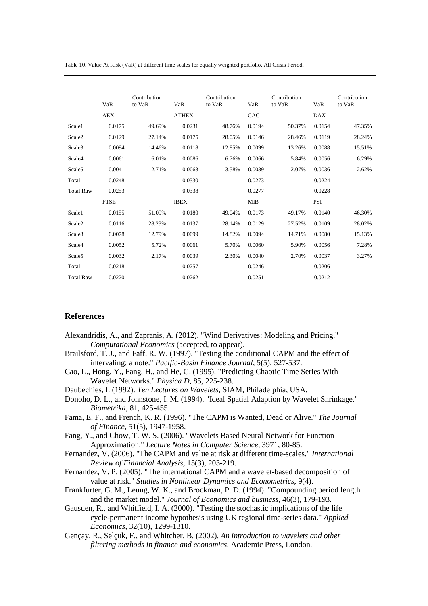<span id="page-23-9"></span><span id="page-23-2"></span>Table 10. Value At Risk (VaR) at different time scales for equally weighted portfolio. All Crisis Period.

<span id="page-23-12"></span><span id="page-23-11"></span><span id="page-23-10"></span><span id="page-23-7"></span><span id="page-23-4"></span>

|                    | VaR         | Contribution<br>to VaR | VaR          | Contribution<br>to VaR | VaR        | Contribution<br>to VaR | VaR        | Contribution<br>to VaR |
|--------------------|-------------|------------------------|--------------|------------------------|------------|------------------------|------------|------------------------|
|                    | <b>AEX</b>  |                        | <b>ATHEX</b> |                        | CAC        |                        | <b>DAX</b> |                        |
| Scale1             | 0.0175      | 49.69%                 | 0.0231       | 48.76%                 | 0.0194     | 50.37%                 | 0.0154     | 47.35%                 |
| Scale <sub>2</sub> | 0.0129      | 27.14%                 | 0.0175       | 28.05%                 | 0.0146     | 28.46%                 | 0.0119     | 28.24%                 |
| Scale3             | 0.0094      | 14.46%                 | 0.0118       | 12.85%                 | 0.0099     | 13.26%                 | 0.0088     | 15.51%                 |
| Scale <sub>4</sub> | 0.0061      | 6.01%                  | 0.0086       | 6.76%                  | 0.0066     | 5.84%                  | 0.0056     | 6.29%                  |
| Scale <sub>5</sub> | 0.0041      | 2.71%                  | 0.0063       | 3.58%                  | 0.0039     | 2.07%                  | 0.0036     | 2.62%                  |
| Total              | 0.0248      |                        | 0.0330       |                        | 0.0273     |                        | 0.0224     |                        |
| <b>Total Raw</b>   | 0.0253      |                        | 0.0338       |                        | 0.0277     |                        | 0.0228     |                        |
|                    | <b>FTSE</b> |                        | <b>IBEX</b>  |                        | <b>MIB</b> |                        | <b>PSI</b> |                        |
| Scale1             | 0.0155      | 51.09%                 | 0.0180       | 49.04%                 | 0.0173     | 49.17%                 | 0.0140     | 46.30%                 |
| Scale2             | 0.0116      | 28.23%                 | 0.0137       | 28.14%                 | 0.0129     | 27.52%                 | 0.0109     | 28.02%                 |
| Scale3             | 0.0078      | 12.79%                 | 0.0099       | 14.82%                 | 0.0094     | 14.71%                 | 0.0080     | 15.13%                 |
| Scale4             | 0.0052      | 5.72%                  | 0.0061       | 5.70%                  | 0.0060     | 5.90%                  | 0.0056     | 7.28%                  |
| Scale <sub>5</sub> | 0.0032      | 2.17%                  | 0.0039       | 2.30%                  | 0.0040     | 2.70%                  | 0.0037     | 3.27%                  |
| Total              | 0.0218      |                        | 0.0257       |                        | 0.0246     |                        | 0.0206     |                        |
| <b>Total Raw</b>   | 0.0220      |                        | 0.0262       |                        | 0.0251     |                        | 0.0212     |                        |

#### <span id="page-23-15"></span><span id="page-23-14"></span><span id="page-23-13"></span><span id="page-23-6"></span><span id="page-23-3"></span><span id="page-23-1"></span>**References**

- <span id="page-23-16"></span>Alexandridis, A., and Zapranis, A. (2012). "Wind Derivatives: Modeling and Pricing." *Computational Economics* (accepted, to appear).
- Brailsford, T. J., and Faff, R. W. (1997). "Testing the conditional CAPM and the effect of intervaling: a note." *Pacific-Basin Finance Journal*, 5(5), 527-537.
- <span id="page-23-17"></span><span id="page-23-5"></span>Cao, L., Hong, Y., Fang, H., and He, G. (1995). "Predicting Chaotic Time Series With Wavelet Networks." *Physica D*, 85, 225-238.
- Daubechies, I. (1992). *Ten Lectures on Wavelets*, SIAM, Philadelphia, USA.
- <span id="page-23-21"></span>Donoho, D. L., and Johnstone, I. M. (1994). "Ideal Spatial Adaption by Wavelet Shrinkage." *Biometrika*, 81, 425-455.
- <span id="page-23-18"></span>Fama, E. F., and French, K. R. (1996). "The CAPM is Wanted, Dead or Alive." *The Journal of Finance*, 51(5), 1947-1958.
- Fang, Y., and Chow, T. W. S. (2006). "Wavelets Based Neural Network for Function Approximation." *Lecture Notes in Computer Science*, 3971, 80-85.
- <span id="page-23-22"></span>Fernandez, V. (2006). "The CAPM and value at risk at different time-scales." *International Review of Financial Analysis*, 15(3), 203-219.
- <span id="page-23-19"></span>Fernandez, V. P. (2005). "The international CAPM and a wavelet-based decomposition of value at risk." *Studies in Nonlinear Dynamics and Econometrics*, 9(4).
- <span id="page-23-8"></span>Frankfurter, G. M., Leung, W. K., and Brockman, P. D. (1994). "Compounding period length and the market model." *Journal of Economics and business*, 46(3), 179-193.
- <span id="page-23-20"></span>Gausden, R., and Whitfield, I. A. (2000). "Testing the stochastic implications of the life cycle-permanent income hypothesis using UK regional time-series data." *Applied Economics*, 32(10), 1299-1310.
- <span id="page-23-0"></span>Gençay, R., Selçuk, F., and Whitcher, B. (2002). *An introduction to wavelets and other filtering methods in finance and economics*, Academic Press, London.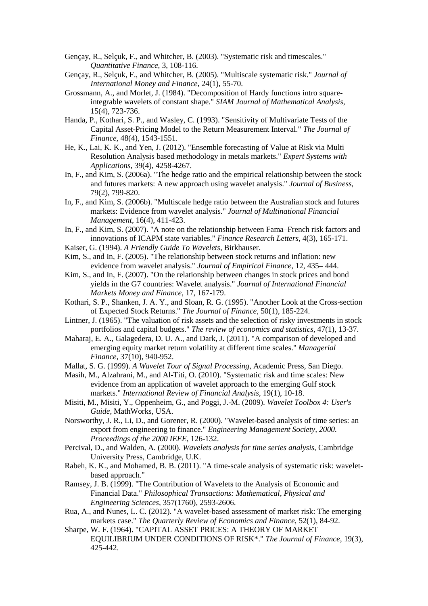- <span id="page-24-1"></span>Gençay, R., Selçuk, F., and Whitcher, B. (2003). "Systematic risk and timescales." *Quantitative Finance*, 3, 108-116.
- <span id="page-24-2"></span>Gençay, R., Selçuk, F., and Whitcher, B. (2005). "Multiscale systematic risk." *Journal of International Money and Finance*, 24(1), 55-70.
- <span id="page-24-0"></span>Grossmann, A., and Morlet, J. (1984). "Decomposition of Hardy functions intro squareintegrable wavelets of constant shape." *SIAM Journal of Mathematical Analysis*, 15(4), 723-736.
- <span id="page-24-3"></span>Handa, P., Kothari, S. P., and Wasley, C. (1993). "Sensitivity of Multivariate Tests of the Capital Asset-Pricing Model to the Return Measurement Interval." *The Journal of Finance*, 48(4), 1543-1551.
- <span id="page-24-4"></span>He, K., Lai, K. K., and Yen, J. (2012). "Ensemble forecasting of Value at Risk via Multi Resolution Analysis based methodology in metals markets." *Expert Systems with Applications*, 39(4), 4258-4267.
- <span id="page-24-5"></span>In, F., and Kim, S. (2006a). "The hedge ratio and the empirical relationship between the stock and futures markets: A new approach using wavelet analysis." *Journal of Business*, 79(2), 799-820.
- In, F., and Kim, S. (2006b). "Multiscale hedge ratio between the Australian stock and futures markets: Evidence from wavelet analysis." *Journal of Multinational Financial Management*, 16(4), 411-423.
- In, F., and Kim, S. (2007). "A note on the relationship between Fama–French risk factors and innovations of ICAPM state variables." *Finance Research Letters*, 4(3), 165-171.
- Kaiser, G. (1994). *A Friendly Guide To Wavelets*, Birkhauser.
- Kim, S., and In, F. (2005). "The relationship between stock returns and inflation: new evidence from wavelet analysis." *Journal of Empirical Finance*, 12, 435– 444.
- Kim, S., and In, F. (2007). "On the relationship between changes in stock prices and bond yields in the G7 countries: Wavelet analysis." *Journal of International Financial Markets Money and Finance*, 17, 167-179.
- Kothari, S. P., Shanken, J. A. Y., and Sloan, R. G. (1995). "Another Look at the Cross-section of Expected Stock Returns." *The Journal of Finance*, 50(1), 185-224.
- Lintner, J. (1965). "The valuation of risk assets and the selection of risky investments in stock portfolios and capital budgets." *The review of economics and statistics*, 47(1), 13-37.
- Maharaj, E. A., Galagedera, D. U. A., and Dark, J. (2011). "A comparison of developed and emerging equity market return volatility at different time scales." *Managerial Finance*, 37(10), 940-952.
- Mallat, S. G. (1999). *A Wavelet Tour of Signal Processing*, Academic Press, San Diego.
- Masih, M., Alzahrani, M., and Al-Titi, O. (2010). "Systematic risk and time scales: New evidence from an application of wavelet approach to the emerging Gulf stock markets." *International Review of Financial Analysis*, 19(1), 10-18.
- Misiti, M., Misiti, Y., Oppenheim, G., and Poggi, J.-M. (2009). *Wavelet Toolbox 4: User's Guide*, MathWorks, USA.
- Norsworthy, J. R., Li, D., and Gorener, R. (2000). "Wavelet-based analysis of time series: an export from engineering to finance." *Engineering Management Society, 2000. Proceedings of the 2000 IEEE*, 126-132.
- Percival, D., and Walden, A. (2000). *Wavelets analysis for time series analysis*, Cambridge University Press, Cambridge, U.K.
- Rabeh, K. K., and Mohamed, B. B. (2011). "A time-scale analysis of systematic risk: waveletbased approach."
- Ramsey, J. B. (1999). "The Contribution of Wavelets to the Analysis of Economic and Financial Data." *Philosophical Transactions: Mathematical, Physical and Engineering Sciences*, 357(1760), 2593-2606.
- Rua, A., and Nunes, L. C. (2012). "A wavelet-based assessment of market risk: The emerging markets case." *The Quarterly Review of Economics and Finance*, 52(1), 84-92.
- Sharpe, W. F. (1964). "CAPITAL ASSET PRICES: A THEORY OF MARKET EQUILIBRIUM UNDER CONDITIONS OF RISK\*." *The Journal of Finance*, 19(3), 425-442.